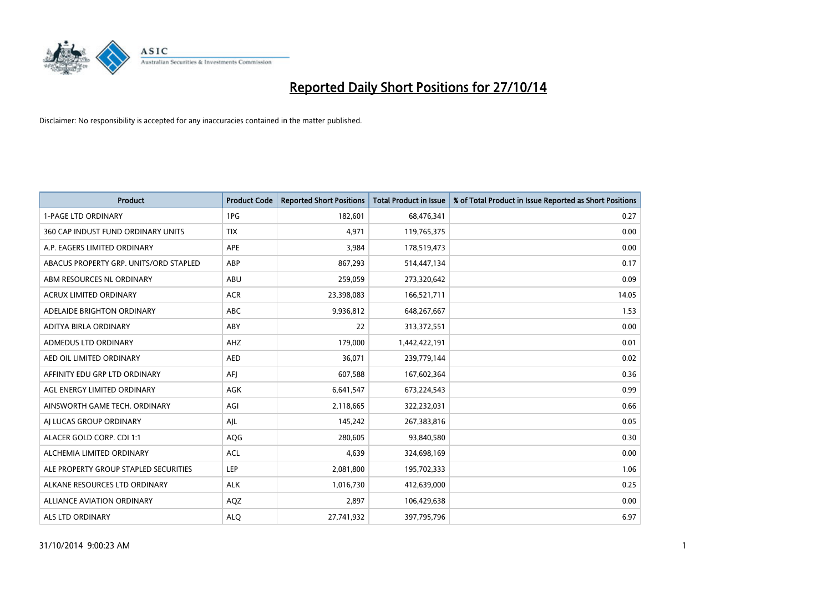

| Product                                | <b>Product Code</b> | <b>Reported Short Positions</b> | <b>Total Product in Issue</b> | % of Total Product in Issue Reported as Short Positions |
|----------------------------------------|---------------------|---------------------------------|-------------------------------|---------------------------------------------------------|
| <b>1-PAGE LTD ORDINARY</b>             | 1PG                 | 182,601                         | 68,476,341                    | 0.27                                                    |
| 360 CAP INDUST FUND ORDINARY UNITS     | <b>TIX</b>          | 4,971                           | 119,765,375                   | 0.00                                                    |
| A.P. EAGERS LIMITED ORDINARY           | APE                 | 3,984                           | 178,519,473                   | 0.00                                                    |
| ABACUS PROPERTY GRP. UNITS/ORD STAPLED | ABP                 | 867,293                         | 514,447,134                   | 0.17                                                    |
| ABM RESOURCES NL ORDINARY              | ABU                 | 259,059                         | 273,320,642                   | 0.09                                                    |
| <b>ACRUX LIMITED ORDINARY</b>          | <b>ACR</b>          | 23,398,083                      | 166,521,711                   | 14.05                                                   |
| ADELAIDE BRIGHTON ORDINARY             | <b>ABC</b>          | 9,936,812                       | 648,267,667                   | 1.53                                                    |
| ADITYA BIRLA ORDINARY                  | ABY                 | 22                              | 313,372,551                   | 0.00                                                    |
| ADMEDUS LTD ORDINARY                   | AHZ                 | 179,000                         | 1,442,422,191                 | 0.01                                                    |
| AED OIL LIMITED ORDINARY               | <b>AED</b>          | 36,071                          | 239,779,144                   | 0.02                                                    |
| AFFINITY EDU GRP LTD ORDINARY          | AFI                 | 607,588                         | 167,602,364                   | 0.36                                                    |
| AGL ENERGY LIMITED ORDINARY            | AGK                 | 6,641,547                       | 673,224,543                   | 0.99                                                    |
| AINSWORTH GAME TECH. ORDINARY          | AGI                 | 2,118,665                       | 322,232,031                   | 0.66                                                    |
| AI LUCAS GROUP ORDINARY                | AJL                 | 145,242                         | 267,383,816                   | 0.05                                                    |
| ALACER GOLD CORP. CDI 1:1              | AQG                 | 280,605                         | 93,840,580                    | 0.30                                                    |
| ALCHEMIA LIMITED ORDINARY              | <b>ACL</b>          | 4,639                           | 324,698,169                   | 0.00                                                    |
| ALE PROPERTY GROUP STAPLED SECURITIES  | LEP                 | 2,081,800                       | 195,702,333                   | 1.06                                                    |
| ALKANE RESOURCES LTD ORDINARY          | <b>ALK</b>          | 1,016,730                       | 412,639,000                   | 0.25                                                    |
| ALLIANCE AVIATION ORDINARY             | AQZ                 | 2,897                           | 106,429,638                   | 0.00                                                    |
| ALS LTD ORDINARY                       | <b>ALO</b>          | 27,741,932                      | 397,795,796                   | 6.97                                                    |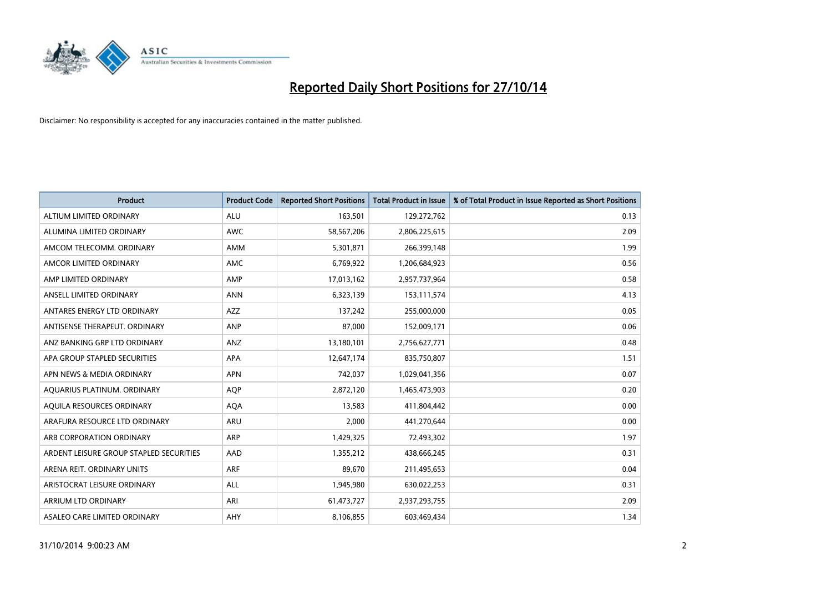

| <b>Product</b>                          | <b>Product Code</b> | <b>Reported Short Positions</b> | <b>Total Product in Issue</b> | % of Total Product in Issue Reported as Short Positions |
|-----------------------------------------|---------------------|---------------------------------|-------------------------------|---------------------------------------------------------|
| ALTIUM LIMITED ORDINARY                 | <b>ALU</b>          | 163,501                         | 129,272,762                   | 0.13                                                    |
| ALUMINA LIMITED ORDINARY                | <b>AWC</b>          | 58,567,206                      | 2,806,225,615                 | 2.09                                                    |
| AMCOM TELECOMM, ORDINARY                | <b>AMM</b>          | 5,301,871                       | 266,399,148                   | 1.99                                                    |
| AMCOR LIMITED ORDINARY                  | AMC                 | 6,769,922                       | 1,206,684,923                 | 0.56                                                    |
| AMP LIMITED ORDINARY                    | AMP                 | 17,013,162                      | 2,957,737,964                 | 0.58                                                    |
| ANSELL LIMITED ORDINARY                 | <b>ANN</b>          | 6,323,139                       | 153, 111, 574                 | 4.13                                                    |
| ANTARES ENERGY LTD ORDINARY             | <b>AZZ</b>          | 137,242                         | 255,000,000                   | 0.05                                                    |
| ANTISENSE THERAPEUT, ORDINARY           | ANP                 | 87,000                          | 152,009,171                   | 0.06                                                    |
| ANZ BANKING GRP LTD ORDINARY            | ANZ                 | 13,180,101                      | 2,756,627,771                 | 0.48                                                    |
| APA GROUP STAPLED SECURITIES            | <b>APA</b>          | 12,647,174                      | 835,750,807                   | 1.51                                                    |
| APN NEWS & MEDIA ORDINARY               | <b>APN</b>          | 742,037                         | 1,029,041,356                 | 0.07                                                    |
| AQUARIUS PLATINUM. ORDINARY             | <b>AOP</b>          | 2,872,120                       | 1,465,473,903                 | 0.20                                                    |
| AQUILA RESOURCES ORDINARY               | <b>AQA</b>          | 13,583                          | 411,804,442                   | 0.00                                                    |
| ARAFURA RESOURCE LTD ORDINARY           | ARU                 | 2,000                           | 441,270,644                   | 0.00                                                    |
| ARB CORPORATION ORDINARY                | ARP                 | 1,429,325                       | 72,493,302                    | 1.97                                                    |
| ARDENT LEISURE GROUP STAPLED SECURITIES | AAD                 | 1,355,212                       | 438,666,245                   | 0.31                                                    |
| ARENA REIT. ORDINARY UNITS              | <b>ARF</b>          | 89,670                          | 211,495,653                   | 0.04                                                    |
| ARISTOCRAT LEISURE ORDINARY             | <b>ALL</b>          | 1,945,980                       | 630,022,253                   | 0.31                                                    |
| ARRIUM LTD ORDINARY                     | ARI                 | 61,473,727                      | 2,937,293,755                 | 2.09                                                    |
| ASALEO CARE LIMITED ORDINARY            | AHY                 | 8,106,855                       | 603,469,434                   | 1.34                                                    |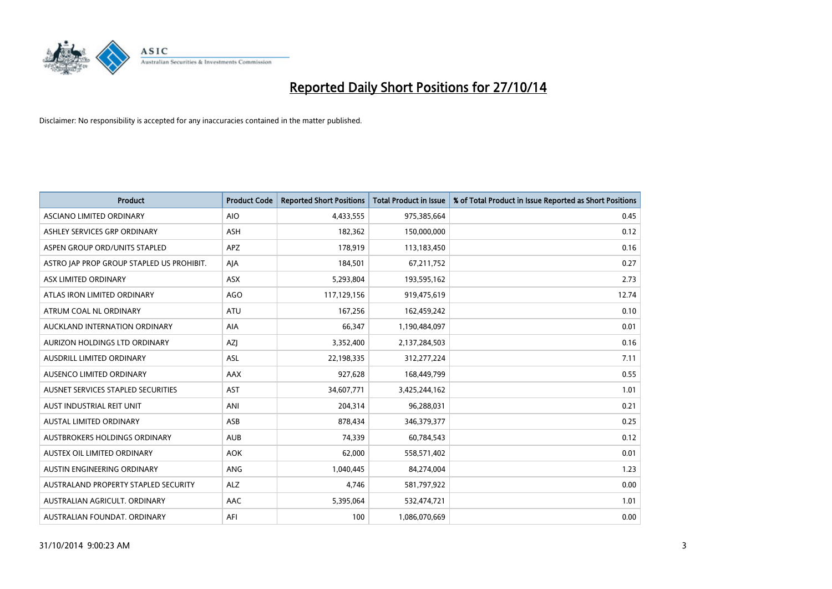

| <b>Product</b>                            | <b>Product Code</b> | <b>Reported Short Positions</b> | <b>Total Product in Issue</b> | % of Total Product in Issue Reported as Short Positions |
|-------------------------------------------|---------------------|---------------------------------|-------------------------------|---------------------------------------------------------|
| ASCIANO LIMITED ORDINARY                  | <b>AIO</b>          | 4,433,555                       | 975,385,664                   | 0.45                                                    |
| ASHLEY SERVICES GRP ORDINARY              | ASH                 | 182,362                         | 150,000,000                   | 0.12                                                    |
| ASPEN GROUP ORD/UNITS STAPLED             | <b>APZ</b>          | 178,919                         | 113,183,450                   | 0.16                                                    |
| ASTRO JAP PROP GROUP STAPLED US PROHIBIT. | AJA                 | 184,501                         | 67,211,752                    | 0.27                                                    |
| ASX LIMITED ORDINARY                      | ASX                 | 5,293,804                       | 193,595,162                   | 2.73                                                    |
| ATLAS IRON LIMITED ORDINARY               | <b>AGO</b>          | 117,129,156                     | 919,475,619                   | 12.74                                                   |
| ATRUM COAL NL ORDINARY                    | ATU                 | 167,256                         | 162,459,242                   | 0.10                                                    |
| AUCKLAND INTERNATION ORDINARY             | AIA                 | 66,347                          | 1,190,484,097                 | 0.01                                                    |
| AURIZON HOLDINGS LTD ORDINARY             | AZJ                 | 3,352,400                       | 2,137,284,503                 | 0.16                                                    |
| AUSDRILL LIMITED ORDINARY                 | <b>ASL</b>          | 22,198,335                      | 312,277,224                   | 7.11                                                    |
| AUSENCO LIMITED ORDINARY                  | AAX                 | 927,628                         | 168,449,799                   | 0.55                                                    |
| AUSNET SERVICES STAPLED SECURITIES        | <b>AST</b>          | 34,607,771                      | 3,425,244,162                 | 1.01                                                    |
| AUST INDUSTRIAL REIT UNIT                 | ANI                 | 204,314                         | 96,288,031                    | 0.21                                                    |
| <b>AUSTAL LIMITED ORDINARY</b>            | ASB                 | 878,434                         | 346,379,377                   | 0.25                                                    |
| AUSTBROKERS HOLDINGS ORDINARY             | <b>AUB</b>          | 74,339                          | 60,784,543                    | 0.12                                                    |
| AUSTEX OIL LIMITED ORDINARY               | <b>AOK</b>          | 62,000                          | 558,571,402                   | 0.01                                                    |
| AUSTIN ENGINEERING ORDINARY               | ANG                 | 1,040,445                       | 84,274,004                    | 1.23                                                    |
| AUSTRALAND PROPERTY STAPLED SECURITY      | <b>ALZ</b>          | 4,746                           | 581,797,922                   | 0.00                                                    |
| AUSTRALIAN AGRICULT, ORDINARY             | AAC                 | 5,395,064                       | 532,474,721                   | 1.01                                                    |
| AUSTRALIAN FOUNDAT. ORDINARY              | AFI                 | 100                             | 1,086,070,669                 | 0.00                                                    |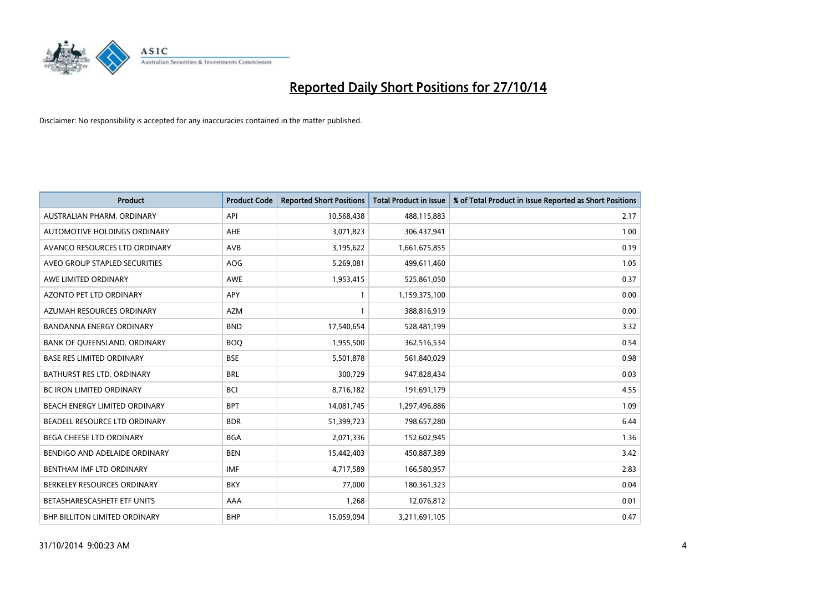

| <b>Product</b>                   | <b>Product Code</b> | <b>Reported Short Positions</b> | <b>Total Product in Issue</b> | % of Total Product in Issue Reported as Short Positions |
|----------------------------------|---------------------|---------------------------------|-------------------------------|---------------------------------------------------------|
| AUSTRALIAN PHARM, ORDINARY       | API                 | 10,568,438                      | 488,115,883                   | 2.17                                                    |
| AUTOMOTIVE HOLDINGS ORDINARY     | AHE                 | 3,071,823                       | 306,437,941                   | 1.00                                                    |
| AVANCO RESOURCES LTD ORDINARY    | AVB                 | 3,195,622                       | 1,661,675,855                 | 0.19                                                    |
| AVEO GROUP STAPLED SECURITIES    | AOG                 | 5,269,081                       | 499,611,460                   | 1.05                                                    |
| AWE LIMITED ORDINARY             | <b>AWE</b>          | 1,953,415                       | 525,861,050                   | 0.37                                                    |
| AZONTO PET LTD ORDINARY          | <b>APY</b>          | $\mathbf{1}$                    | 1,159,375,100                 | 0.00                                                    |
| AZUMAH RESOURCES ORDINARY        | <b>AZM</b>          | 1                               | 388,816,919                   | 0.00                                                    |
| <b>BANDANNA ENERGY ORDINARY</b>  | <b>BND</b>          | 17,540,654                      | 528,481,199                   | 3.32                                                    |
| BANK OF QUEENSLAND. ORDINARY     | <b>BOQ</b>          | 1,955,500                       | 362,516,534                   | 0.54                                                    |
| <b>BASE RES LIMITED ORDINARY</b> | <b>BSE</b>          | 5,501,878                       | 561,840,029                   | 0.98                                                    |
| BATHURST RES LTD. ORDINARY       | <b>BRL</b>          | 300,729                         | 947,828,434                   | 0.03                                                    |
| <b>BC IRON LIMITED ORDINARY</b>  | <b>BCI</b>          | 8,716,182                       | 191,691,179                   | 4.55                                                    |
| BEACH ENERGY LIMITED ORDINARY    | <b>BPT</b>          | 14,081,745                      | 1,297,496,886                 | 1.09                                                    |
| BEADELL RESOURCE LTD ORDINARY    | <b>BDR</b>          | 51,399,723                      | 798,657,280                   | 6.44                                                    |
| <b>BEGA CHEESE LTD ORDINARY</b>  | <b>BGA</b>          | 2,071,336                       | 152,602,945                   | 1.36                                                    |
| BENDIGO AND ADELAIDE ORDINARY    | <b>BEN</b>          | 15,442,403                      | 450,887,389                   | 3.42                                                    |
| BENTHAM IMF LTD ORDINARY         | <b>IMF</b>          | 4,717,589                       | 166,580,957                   | 2.83                                                    |
| BERKELEY RESOURCES ORDINARY      | <b>BKY</b>          | 77,000                          | 180,361,323                   | 0.04                                                    |
| BETASHARESCASHETF ETF UNITS      | AAA                 | 1,268                           | 12,076,812                    | 0.01                                                    |
| BHP BILLITON LIMITED ORDINARY    | <b>BHP</b>          | 15,059,094                      | 3,211,691,105                 | 0.47                                                    |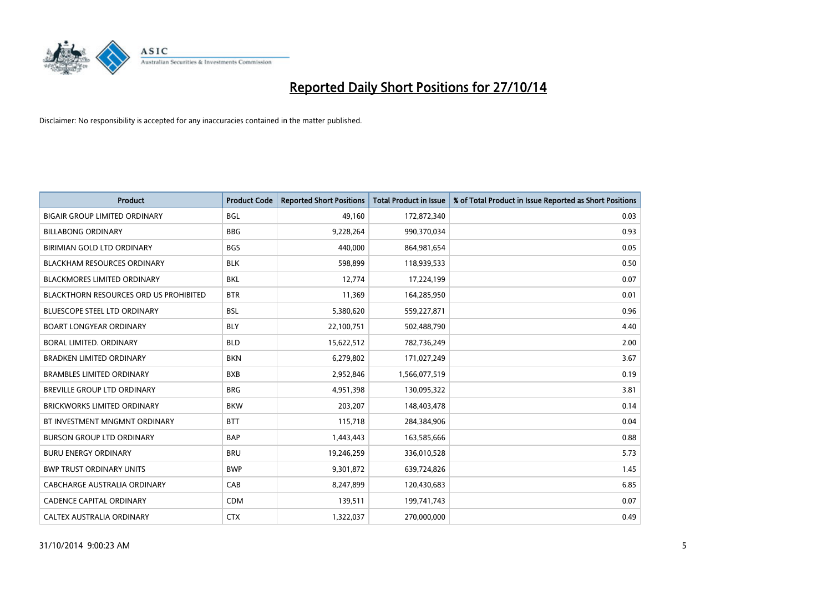

| <b>Product</b>                                | <b>Product Code</b> | <b>Reported Short Positions</b> | <b>Total Product in Issue</b> | % of Total Product in Issue Reported as Short Positions |
|-----------------------------------------------|---------------------|---------------------------------|-------------------------------|---------------------------------------------------------|
| <b>BIGAIR GROUP LIMITED ORDINARY</b>          | <b>BGL</b>          | 49.160                          | 172,872,340                   | 0.03                                                    |
| <b>BILLABONG ORDINARY</b>                     | <b>BBG</b>          | 9,228,264                       | 990,370,034                   | 0.93                                                    |
| BIRIMIAN GOLD LTD ORDINARY                    | <b>BGS</b>          | 440,000                         | 864,981,654                   | 0.05                                                    |
| <b>BLACKHAM RESOURCES ORDINARY</b>            | <b>BLK</b>          | 598,899                         | 118,939,533                   | 0.50                                                    |
| <b>BLACKMORES LIMITED ORDINARY</b>            | <b>BKL</b>          | 12,774                          | 17,224,199                    | 0.07                                                    |
| <b>BLACKTHORN RESOURCES ORD US PROHIBITED</b> | <b>BTR</b>          | 11,369                          | 164,285,950                   | 0.01                                                    |
| <b>BLUESCOPE STEEL LTD ORDINARY</b>           | <b>BSL</b>          | 5,380,620                       | 559,227,871                   | 0.96                                                    |
| <b>BOART LONGYEAR ORDINARY</b>                | <b>BLY</b>          | 22,100,751                      | 502,488,790                   | 4.40                                                    |
| <b>BORAL LIMITED, ORDINARY</b>                | <b>BLD</b>          | 15,622,512                      | 782,736,249                   | 2.00                                                    |
| <b>BRADKEN LIMITED ORDINARY</b>               | <b>BKN</b>          | 6,279,802                       | 171,027,249                   | 3.67                                                    |
| <b>BRAMBLES LIMITED ORDINARY</b>              | <b>BXB</b>          | 2,952,846                       | 1,566,077,519                 | 0.19                                                    |
| <b>BREVILLE GROUP LTD ORDINARY</b>            | <b>BRG</b>          | 4,951,398                       | 130,095,322                   | 3.81                                                    |
| <b>BRICKWORKS LIMITED ORDINARY</b>            | <b>BKW</b>          | 203,207                         | 148,403,478                   | 0.14                                                    |
| BT INVESTMENT MNGMNT ORDINARY                 | <b>BTT</b>          | 115,718                         | 284,384,906                   | 0.04                                                    |
| <b>BURSON GROUP LTD ORDINARY</b>              | <b>BAP</b>          | 1,443,443                       | 163,585,666                   | 0.88                                                    |
| <b>BURU ENERGY ORDINARY</b>                   | <b>BRU</b>          | 19,246,259                      | 336,010,528                   | 5.73                                                    |
| <b>BWP TRUST ORDINARY UNITS</b>               | <b>BWP</b>          | 9,301,872                       | 639,724,826                   | 1.45                                                    |
| CABCHARGE AUSTRALIA ORDINARY                  | CAB                 | 8,247,899                       | 120,430,683                   | 6.85                                                    |
| CADENCE CAPITAL ORDINARY                      | <b>CDM</b>          | 139,511                         | 199,741,743                   | 0.07                                                    |
| CALTEX AUSTRALIA ORDINARY                     | <b>CTX</b>          | 1,322,037                       | 270,000,000                   | 0.49                                                    |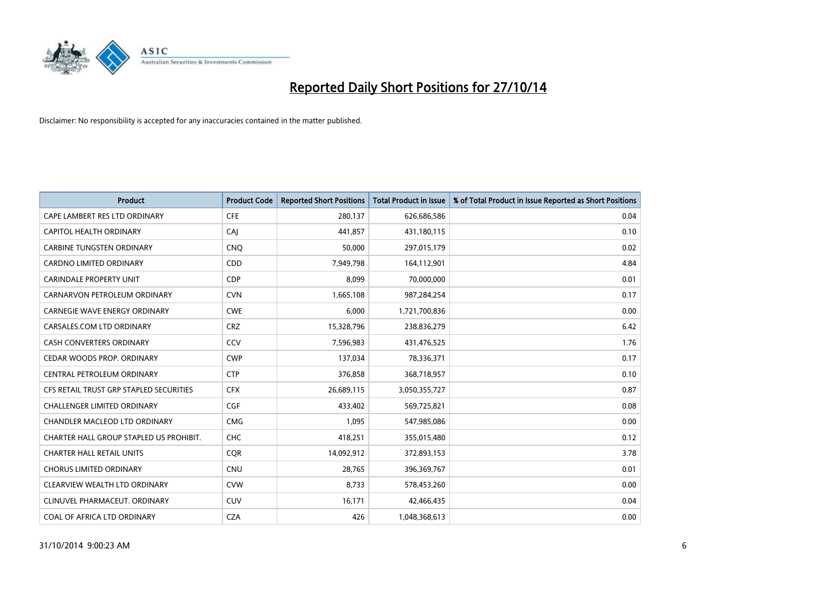

| <b>Product</b>                          | <b>Product Code</b> | <b>Reported Short Positions</b> | <b>Total Product in Issue</b> | % of Total Product in Issue Reported as Short Positions |
|-----------------------------------------|---------------------|---------------------------------|-------------------------------|---------------------------------------------------------|
| CAPE LAMBERT RES LTD ORDINARY           | <b>CFE</b>          | 280,137                         | 626,686,586                   | 0.04                                                    |
| CAPITOL HEALTH ORDINARY                 | CAJ                 | 441,857                         | 431,180,115                   | 0.10                                                    |
| <b>CARBINE TUNGSTEN ORDINARY</b>        | <b>CNQ</b>          | 50,000                          | 297,015,179                   | 0.02                                                    |
| CARDNO LIMITED ORDINARY                 | CDD                 | 7,949,798                       | 164,112,901                   | 4.84                                                    |
| <b>CARINDALE PROPERTY UNIT</b>          | <b>CDP</b>          | 8,099                           | 70,000,000                    | 0.01                                                    |
| CARNARVON PETROLEUM ORDINARY            | <b>CVN</b>          | 1,665,108                       | 987,284,254                   | 0.17                                                    |
| <b>CARNEGIE WAVE ENERGY ORDINARY</b>    | <b>CWE</b>          | 6,000                           | 1,721,700,836                 | 0.00                                                    |
| CARSALES.COM LTD ORDINARY               | <b>CRZ</b>          | 15,328,796                      | 238,836,279                   | 6.42                                                    |
| <b>CASH CONVERTERS ORDINARY</b>         | CCV                 | 7,596,983                       | 431,476,525                   | 1.76                                                    |
| CEDAR WOODS PROP. ORDINARY              | <b>CWP</b>          | 137,034                         | 78,336,371                    | 0.17                                                    |
| CENTRAL PETROLEUM ORDINARY              | <b>CTP</b>          | 376,858                         | 368,718,957                   | 0.10                                                    |
| CFS RETAIL TRUST GRP STAPLED SECURITIES | <b>CFX</b>          | 26,689,115                      | 3,050,355,727                 | 0.87                                                    |
| <b>CHALLENGER LIMITED ORDINARY</b>      | <b>CGF</b>          | 433,402                         | 569,725,821                   | 0.08                                                    |
| <b>CHANDLER MACLEOD LTD ORDINARY</b>    | <b>CMG</b>          | 1,095                           | 547,985,086                   | 0.00                                                    |
| CHARTER HALL GROUP STAPLED US PROHIBIT. | <b>CHC</b>          | 418,251                         | 355,015,480                   | 0.12                                                    |
| <b>CHARTER HALL RETAIL UNITS</b>        | <b>CQR</b>          | 14,092,912                      | 372,893,153                   | 3.78                                                    |
| <b>CHORUS LIMITED ORDINARY</b>          | <b>CNU</b>          | 28,765                          | 396,369,767                   | 0.01                                                    |
| CLEARVIEW WEALTH LTD ORDINARY           | <b>CVW</b>          | 8,733                           | 578,453,260                   | 0.00                                                    |
| CLINUVEL PHARMACEUT, ORDINARY           | <b>CUV</b>          | 16,171                          | 42,466,435                    | 0.04                                                    |
| COAL OF AFRICA LTD ORDINARY             | <b>CZA</b>          | 426                             | 1,048,368,613                 | 0.00                                                    |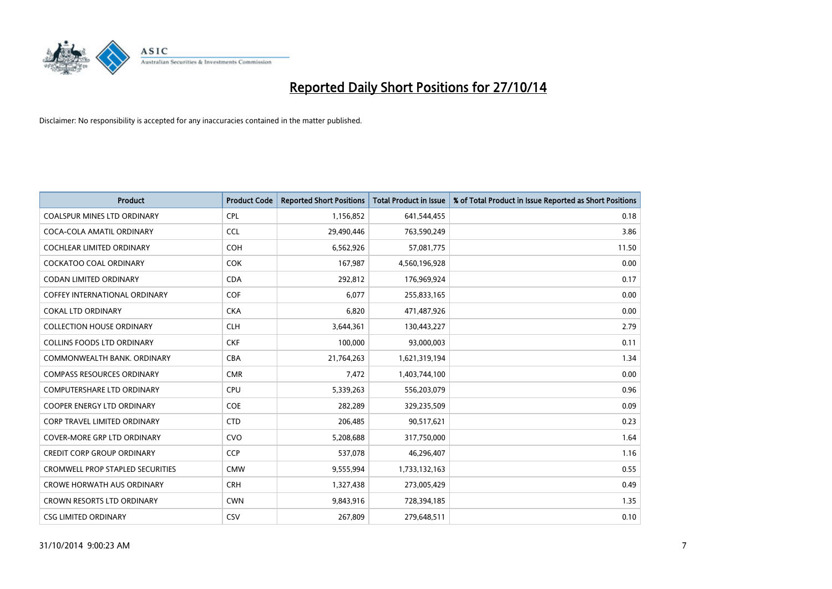

| <b>Product</b>                          | <b>Product Code</b> | <b>Reported Short Positions</b> | <b>Total Product in Issue</b> | % of Total Product in Issue Reported as Short Positions |
|-----------------------------------------|---------------------|---------------------------------|-------------------------------|---------------------------------------------------------|
| <b>COALSPUR MINES LTD ORDINARY</b>      | <b>CPL</b>          | 1,156,852                       | 641,544,455                   | 0.18                                                    |
| COCA-COLA AMATIL ORDINARY               | <b>CCL</b>          | 29,490,446                      | 763,590,249                   | 3.86                                                    |
| <b>COCHLEAR LIMITED ORDINARY</b>        | <b>COH</b>          | 6,562,926                       | 57,081,775                    | 11.50                                                   |
| COCKATOO COAL ORDINARY                  | <b>COK</b>          | 167,987                         | 4,560,196,928                 | 0.00                                                    |
| <b>CODAN LIMITED ORDINARY</b>           | <b>CDA</b>          | 292,812                         | 176,969,924                   | 0.17                                                    |
| <b>COFFEY INTERNATIONAL ORDINARY</b>    | COF                 | 6,077                           | 255,833,165                   | 0.00                                                    |
| <b>COKAL LTD ORDINARY</b>               | <b>CKA</b>          | 6,820                           | 471,487,926                   | 0.00                                                    |
| <b>COLLECTION HOUSE ORDINARY</b>        | <b>CLH</b>          | 3,644,361                       | 130,443,227                   | 2.79                                                    |
| <b>COLLINS FOODS LTD ORDINARY</b>       | <b>CKF</b>          | 100,000                         | 93,000,003                    | 0.11                                                    |
| COMMONWEALTH BANK, ORDINARY             | <b>CBA</b>          | 21,764,263                      | 1,621,319,194                 | 1.34                                                    |
| <b>COMPASS RESOURCES ORDINARY</b>       | <b>CMR</b>          | 7,472                           | 1,403,744,100                 | 0.00                                                    |
| <b>COMPUTERSHARE LTD ORDINARY</b>       | <b>CPU</b>          | 5,339,263                       | 556,203,079                   | 0.96                                                    |
| COOPER ENERGY LTD ORDINARY              | <b>COE</b>          | 282,289                         | 329,235,509                   | 0.09                                                    |
| <b>CORP TRAVEL LIMITED ORDINARY</b>     | <b>CTD</b>          | 206,485                         | 90,517,621                    | 0.23                                                    |
| <b>COVER-MORE GRP LTD ORDINARY</b>      | <b>CVO</b>          | 5,208,688                       | 317,750,000                   | 1.64                                                    |
| <b>CREDIT CORP GROUP ORDINARY</b>       | <b>CCP</b>          | 537,078                         | 46,296,407                    | 1.16                                                    |
| <b>CROMWELL PROP STAPLED SECURITIES</b> | <b>CMW</b>          | 9,555,994                       | 1,733,132,163                 | 0.55                                                    |
| <b>CROWE HORWATH AUS ORDINARY</b>       | <b>CRH</b>          | 1,327,438                       | 273,005,429                   | 0.49                                                    |
| <b>CROWN RESORTS LTD ORDINARY</b>       | <b>CWN</b>          | 9,843,916                       | 728,394,185                   | 1.35                                                    |
| <b>CSG LIMITED ORDINARY</b>             | CSV                 | 267,809                         | 279,648,511                   | 0.10                                                    |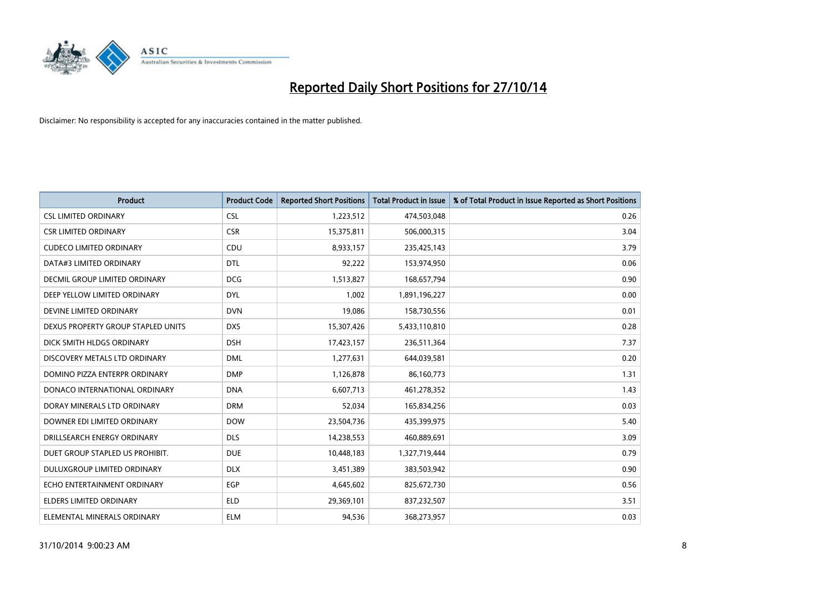

| <b>Product</b>                       | <b>Product Code</b> | <b>Reported Short Positions</b> | <b>Total Product in Issue</b> | % of Total Product in Issue Reported as Short Positions |
|--------------------------------------|---------------------|---------------------------------|-------------------------------|---------------------------------------------------------|
| <b>CSL LIMITED ORDINARY</b>          | <b>CSL</b>          | 1,223,512                       | 474,503,048                   | 0.26                                                    |
| <b>CSR LIMITED ORDINARY</b>          | <b>CSR</b>          | 15,375,811                      | 506,000,315                   | 3.04                                                    |
| <b>CUDECO LIMITED ORDINARY</b>       | CDU                 | 8,933,157                       | 235,425,143                   | 3.79                                                    |
| DATA#3 LIMITED ORDINARY              | <b>DTL</b>          | 92,222                          | 153,974,950                   | 0.06                                                    |
| <b>DECMIL GROUP LIMITED ORDINARY</b> | <b>DCG</b>          | 1,513,827                       | 168,657,794                   | 0.90                                                    |
| DEEP YELLOW LIMITED ORDINARY         | <b>DYL</b>          | 1,002                           | 1,891,196,227                 | 0.00                                                    |
| DEVINE LIMITED ORDINARY              | <b>DVN</b>          | 19,086                          | 158,730,556                   | 0.01                                                    |
| DEXUS PROPERTY GROUP STAPLED UNITS   | <b>DXS</b>          | 15,307,426                      | 5,433,110,810                 | 0.28                                                    |
| DICK SMITH HLDGS ORDINARY            | <b>DSH</b>          | 17,423,157                      | 236,511,364                   | 7.37                                                    |
| DISCOVERY METALS LTD ORDINARY        | <b>DML</b>          | 1,277,631                       | 644,039,581                   | 0.20                                                    |
| DOMINO PIZZA ENTERPR ORDINARY        | <b>DMP</b>          | 1,126,878                       | 86,160,773                    | 1.31                                                    |
| DONACO INTERNATIONAL ORDINARY        | <b>DNA</b>          | 6,607,713                       | 461,278,352                   | 1.43                                                    |
| DORAY MINERALS LTD ORDINARY          | <b>DRM</b>          | 52,034                          | 165,834,256                   | 0.03                                                    |
| DOWNER EDI LIMITED ORDINARY          | <b>DOW</b>          | 23,504,736                      | 435,399,975                   | 5.40                                                    |
| DRILLSEARCH ENERGY ORDINARY          | <b>DLS</b>          | 14,238,553                      | 460,889,691                   | 3.09                                                    |
| DUET GROUP STAPLED US PROHIBIT.      | <b>DUE</b>          | 10,448,183                      | 1,327,719,444                 | 0.79                                                    |
| DULUXGROUP LIMITED ORDINARY          | <b>DLX</b>          | 3,451,389                       | 383,503,942                   | 0.90                                                    |
| ECHO ENTERTAINMENT ORDINARY          | <b>EGP</b>          | 4,645,602                       | 825,672,730                   | 0.56                                                    |
| <b>ELDERS LIMITED ORDINARY</b>       | <b>ELD</b>          | 29,369,101                      | 837,232,507                   | 3.51                                                    |
| ELEMENTAL MINERALS ORDINARY          | <b>ELM</b>          | 94,536                          | 368,273,957                   | 0.03                                                    |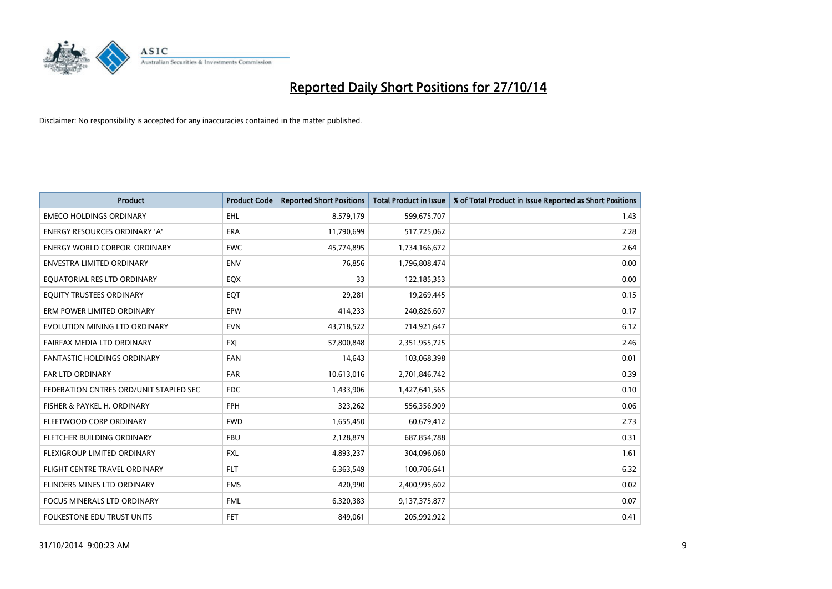

| <b>Product</b>                         | <b>Product Code</b> | <b>Reported Short Positions</b> | <b>Total Product in Issue</b> | % of Total Product in Issue Reported as Short Positions |
|----------------------------------------|---------------------|---------------------------------|-------------------------------|---------------------------------------------------------|
| <b>EMECO HOLDINGS ORDINARY</b>         | <b>EHL</b>          | 8,579,179                       | 599,675,707                   | 1.43                                                    |
| <b>ENERGY RESOURCES ORDINARY 'A'</b>   | <b>ERA</b>          | 11,790,699                      | 517,725,062                   | 2.28                                                    |
| ENERGY WORLD CORPOR. ORDINARY          | <b>EWC</b>          | 45,774,895                      | 1,734,166,672                 | 2.64                                                    |
| ENVESTRA LIMITED ORDINARY              | <b>ENV</b>          | 76,856                          | 1,796,808,474                 | 0.00                                                    |
| EOUATORIAL RES LTD ORDINARY            | EQX                 | 33                              | 122,185,353                   | 0.00                                                    |
| EQUITY TRUSTEES ORDINARY               | EQT                 | 29,281                          | 19,269,445                    | 0.15                                                    |
| ERM POWER LIMITED ORDINARY             | <b>EPW</b>          | 414,233                         | 240,826,607                   | 0.17                                                    |
| EVOLUTION MINING LTD ORDINARY          | <b>EVN</b>          | 43,718,522                      | 714,921,647                   | 6.12                                                    |
| FAIRFAX MEDIA LTD ORDINARY             | <b>FXI</b>          | 57,800,848                      | 2,351,955,725                 | 2.46                                                    |
| <b>FANTASTIC HOLDINGS ORDINARY</b>     | <b>FAN</b>          | 14,643                          | 103,068,398                   | 0.01                                                    |
| <b>FAR LTD ORDINARY</b>                | <b>FAR</b>          | 10,613,016                      | 2,701,846,742                 | 0.39                                                    |
| FEDERATION CNTRES ORD/UNIT STAPLED SEC | FDC                 | 1,433,906                       | 1,427,641,565                 | 0.10                                                    |
| FISHER & PAYKEL H. ORDINARY            | <b>FPH</b>          | 323,262                         | 556,356,909                   | 0.06                                                    |
| FLEETWOOD CORP ORDINARY                | <b>FWD</b>          | 1,655,450                       | 60,679,412                    | 2.73                                                    |
| FLETCHER BUILDING ORDINARY             | <b>FBU</b>          | 2,128,879                       | 687,854,788                   | 0.31                                                    |
| FLEXIGROUP LIMITED ORDINARY            | <b>FXL</b>          | 4,893,237                       | 304,096,060                   | 1.61                                                    |
| FLIGHT CENTRE TRAVEL ORDINARY          | <b>FLT</b>          | 6,363,549                       | 100,706,641                   | 6.32                                                    |
| FLINDERS MINES LTD ORDINARY            | <b>FMS</b>          | 420,990                         | 2,400,995,602                 | 0.02                                                    |
| <b>FOCUS MINERALS LTD ORDINARY</b>     | <b>FML</b>          | 6,320,383                       | 9,137,375,877                 | 0.07                                                    |
| FOLKESTONE EDU TRUST UNITS             | <b>FET</b>          | 849,061                         | 205,992,922                   | 0.41                                                    |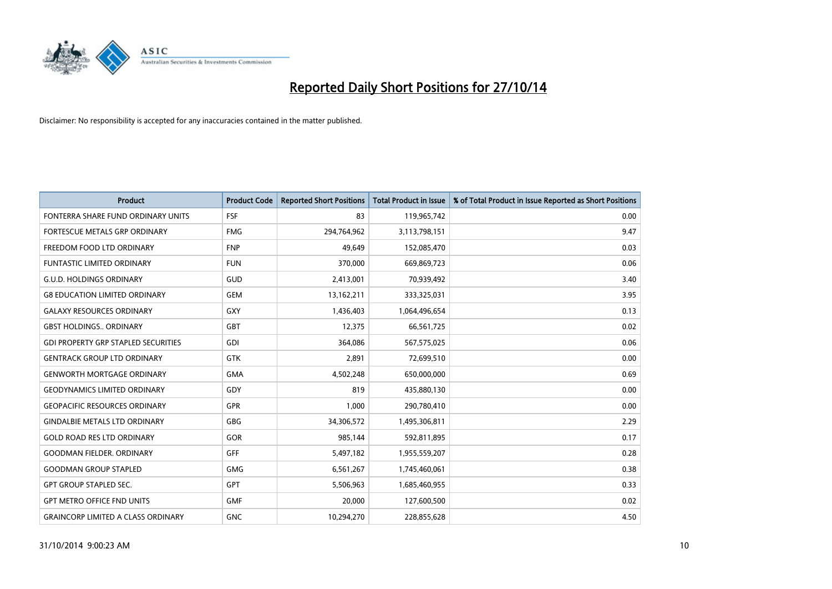

| <b>Product</b>                             | <b>Product Code</b> | <b>Reported Short Positions</b> | <b>Total Product in Issue</b> | % of Total Product in Issue Reported as Short Positions |
|--------------------------------------------|---------------------|---------------------------------|-------------------------------|---------------------------------------------------------|
| FONTERRA SHARE FUND ORDINARY UNITS         | <b>FSF</b>          | 83                              | 119,965,742                   | 0.00                                                    |
| FORTESCUE METALS GRP ORDINARY              | <b>FMG</b>          | 294,764,962                     | 3,113,798,151                 | 9.47                                                    |
| FREEDOM FOOD LTD ORDINARY                  | <b>FNP</b>          | 49,649                          | 152,085,470                   | 0.03                                                    |
| FUNTASTIC LIMITED ORDINARY                 | <b>FUN</b>          | 370,000                         | 669,869,723                   | 0.06                                                    |
| <b>G.U.D. HOLDINGS ORDINARY</b>            | GUD                 | 2,413,001                       | 70,939,492                    | 3.40                                                    |
| <b>G8 EDUCATION LIMITED ORDINARY</b>       | <b>GEM</b>          | 13,162,211                      | 333,325,031                   | 3.95                                                    |
| <b>GALAXY RESOURCES ORDINARY</b>           | <b>GXY</b>          | 1,436,403                       | 1,064,496,654                 | 0.13                                                    |
| <b>GBST HOLDINGS ORDINARY</b>              | <b>GBT</b>          | 12,375                          | 66,561,725                    | 0.02                                                    |
| <b>GDI PROPERTY GRP STAPLED SECURITIES</b> | GDI                 | 364,086                         | 567,575,025                   | 0.06                                                    |
| <b>GENTRACK GROUP LTD ORDINARY</b>         | <b>GTK</b>          | 2,891                           | 72,699,510                    | 0.00                                                    |
| <b>GENWORTH MORTGAGE ORDINARY</b>          | <b>GMA</b>          | 4,502,248                       | 650,000,000                   | 0.69                                                    |
| <b>GEODYNAMICS LIMITED ORDINARY</b>        | GDY                 | 819                             | 435,880,130                   | 0.00                                                    |
| <b>GEOPACIFIC RESOURCES ORDINARY</b>       | GPR                 | 1,000                           | 290,780,410                   | 0.00                                                    |
| <b>GINDALBIE METALS LTD ORDINARY</b>       | GBG                 | 34,306,572                      | 1,495,306,811                 | 2.29                                                    |
| <b>GOLD ROAD RES LTD ORDINARY</b>          | GOR                 | 985,144                         | 592,811,895                   | 0.17                                                    |
| <b>GOODMAN FIELDER, ORDINARY</b>           | GFF                 | 5,497,182                       | 1,955,559,207                 | 0.28                                                    |
| <b>GOODMAN GROUP STAPLED</b>               | <b>GMG</b>          | 6,561,267                       | 1,745,460,061                 | 0.38                                                    |
| <b>GPT GROUP STAPLED SEC.</b>              | <b>GPT</b>          | 5,506,963                       | 1,685,460,955                 | 0.33                                                    |
| <b>GPT METRO OFFICE FND UNITS</b>          | <b>GMF</b>          | 20,000                          | 127,600,500                   | 0.02                                                    |
| <b>GRAINCORP LIMITED A CLASS ORDINARY</b>  | <b>GNC</b>          | 10,294,270                      | 228,855,628                   | 4.50                                                    |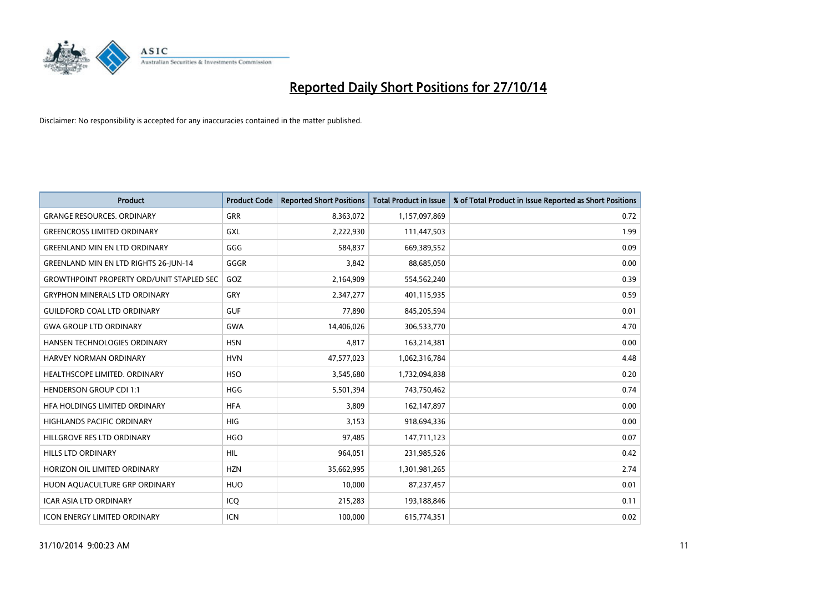

| <b>Product</b>                                   | <b>Product Code</b> | <b>Reported Short Positions</b> | <b>Total Product in Issue</b> | % of Total Product in Issue Reported as Short Positions |
|--------------------------------------------------|---------------------|---------------------------------|-------------------------------|---------------------------------------------------------|
| <b>GRANGE RESOURCES, ORDINARY</b>                | <b>GRR</b>          | 8,363,072                       | 1,157,097,869                 | 0.72                                                    |
| <b>GREENCROSS LIMITED ORDINARY</b>               | GXL                 | 2,222,930                       | 111,447,503                   | 1.99                                                    |
| <b>GREENLAND MIN EN LTD ORDINARY</b>             | GGG                 | 584,837                         | 669,389,552                   | 0.09                                                    |
| <b>GREENLAND MIN EN LTD RIGHTS 26-JUN-14</b>     | GGGR                | 3,842                           | 88,685,050                    | 0.00                                                    |
| <b>GROWTHPOINT PROPERTY ORD/UNIT STAPLED SEC</b> | GOZ                 | 2,164,909                       | 554,562,240                   | 0.39                                                    |
| <b>GRYPHON MINERALS LTD ORDINARY</b>             | GRY                 | 2,347,277                       | 401,115,935                   | 0.59                                                    |
| <b>GUILDFORD COAL LTD ORDINARY</b>               | <b>GUF</b>          | 77,890                          | 845,205,594                   | 0.01                                                    |
| <b>GWA GROUP LTD ORDINARY</b>                    | <b>GWA</b>          | 14,406,026                      | 306,533,770                   | 4.70                                                    |
| HANSEN TECHNOLOGIES ORDINARY                     | <b>HSN</b>          | 4,817                           | 163,214,381                   | 0.00                                                    |
| <b>HARVEY NORMAN ORDINARY</b>                    | <b>HVN</b>          | 47,577,023                      | 1,062,316,784                 | 4.48                                                    |
| HEALTHSCOPE LIMITED. ORDINARY                    | <b>HSO</b>          | 3,545,680                       | 1,732,094,838                 | 0.20                                                    |
| <b>HENDERSON GROUP CDI 1:1</b>                   | <b>HGG</b>          | 5,501,394                       | 743,750,462                   | 0.74                                                    |
| HFA HOLDINGS LIMITED ORDINARY                    | <b>HFA</b>          | 3,809                           | 162,147,897                   | 0.00                                                    |
| <b>HIGHLANDS PACIFIC ORDINARY</b>                | <b>HIG</b>          | 3,153                           | 918,694,336                   | 0.00                                                    |
| HILLGROVE RES LTD ORDINARY                       | <b>HGO</b>          | 97,485                          | 147,711,123                   | 0.07                                                    |
| <b>HILLS LTD ORDINARY</b>                        | <b>HIL</b>          | 964,051                         | 231,985,526                   | 0.42                                                    |
| HORIZON OIL LIMITED ORDINARY                     | <b>HZN</b>          | 35,662,995                      | 1,301,981,265                 | 2.74                                                    |
| HUON AQUACULTURE GRP ORDINARY                    | <b>HUO</b>          | 10,000                          | 87,237,457                    | 0.01                                                    |
| <b>ICAR ASIA LTD ORDINARY</b>                    | ICQ                 | 215,283                         | 193,188,846                   | 0.11                                                    |
| <b>ICON ENERGY LIMITED ORDINARY</b>              | ICN                 | 100,000                         | 615,774,351                   | 0.02                                                    |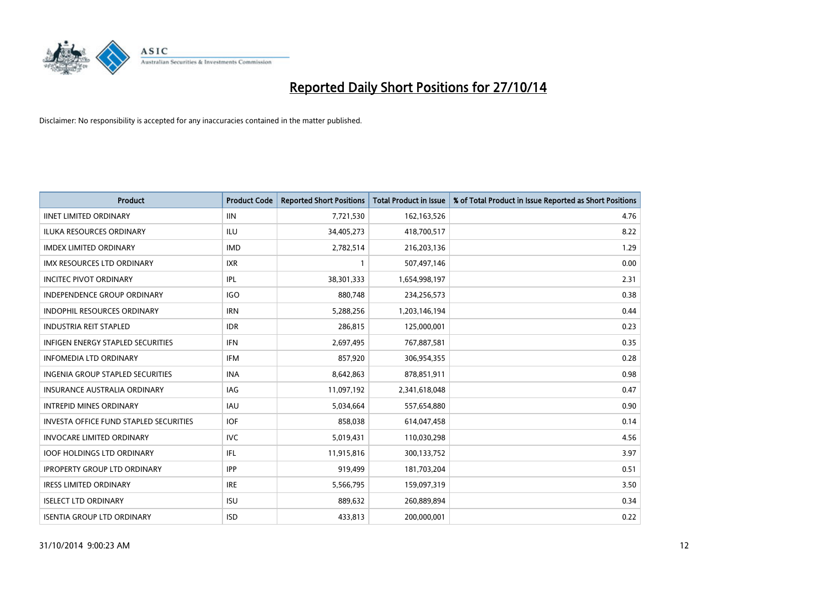

| <b>Product</b>                                | <b>Product Code</b> | <b>Reported Short Positions</b> | <b>Total Product in Issue</b> | % of Total Product in Issue Reported as Short Positions |
|-----------------------------------------------|---------------------|---------------------------------|-------------------------------|---------------------------------------------------------|
| <b>IINET LIMITED ORDINARY</b>                 | <b>IIN</b>          | 7,721,530                       | 162, 163, 526                 | 4.76                                                    |
| ILUKA RESOURCES ORDINARY                      | ILU                 | 34,405,273                      | 418,700,517                   | 8.22                                                    |
| <b>IMDEX LIMITED ORDINARY</b>                 | <b>IMD</b>          | 2,782,514                       | 216,203,136                   | 1.29                                                    |
| IMX RESOURCES LTD ORDINARY                    | <b>IXR</b>          | $\mathbf{1}$                    | 507,497,146                   | 0.00                                                    |
| <b>INCITEC PIVOT ORDINARY</b>                 | IPL                 | 38,301,333                      | 1,654,998,197                 | 2.31                                                    |
| INDEPENDENCE GROUP ORDINARY                   | <b>IGO</b>          | 880,748                         | 234,256,573                   | 0.38                                                    |
| <b>INDOPHIL RESOURCES ORDINARY</b>            | <b>IRN</b>          | 5,288,256                       | 1,203,146,194                 | 0.44                                                    |
| <b>INDUSTRIA REIT STAPLED</b>                 | <b>IDR</b>          | 286,815                         | 125,000,001                   | 0.23                                                    |
| INFIGEN ENERGY STAPLED SECURITIES             | <b>IFN</b>          | 2,697,495                       | 767,887,581                   | 0.35                                                    |
| <b>INFOMEDIA LTD ORDINARY</b>                 | <b>IFM</b>          | 857,920                         | 306,954,355                   | 0.28                                                    |
| INGENIA GROUP STAPLED SECURITIES              | <b>INA</b>          | 8,642,863                       | 878,851,911                   | 0.98                                                    |
| <b>INSURANCE AUSTRALIA ORDINARY</b>           | IAG                 | 11,097,192                      | 2,341,618,048                 | 0.47                                                    |
| <b>INTREPID MINES ORDINARY</b>                | <b>IAU</b>          | 5,034,664                       | 557,654,880                   | 0.90                                                    |
| <b>INVESTA OFFICE FUND STAPLED SECURITIES</b> | <b>IOF</b>          | 858,038                         | 614,047,458                   | 0.14                                                    |
| <b>INVOCARE LIMITED ORDINARY</b>              | <b>IVC</b>          | 5,019,431                       | 110,030,298                   | 4.56                                                    |
| <b>IOOF HOLDINGS LTD ORDINARY</b>             | IFL                 | 11,915,816                      | 300,133,752                   | 3.97                                                    |
| <b>IPROPERTY GROUP LTD ORDINARY</b>           | <b>IPP</b>          | 919,499                         | 181,703,204                   | 0.51                                                    |
| <b>IRESS LIMITED ORDINARY</b>                 | <b>IRE</b>          | 5,566,795                       | 159,097,319                   | 3.50                                                    |
| <b>ISELECT LTD ORDINARY</b>                   | <b>ISU</b>          | 889,632                         | 260,889,894                   | 0.34                                                    |
| <b>ISENTIA GROUP LTD ORDINARY</b>             | <b>ISD</b>          | 433,813                         | 200,000,001                   | 0.22                                                    |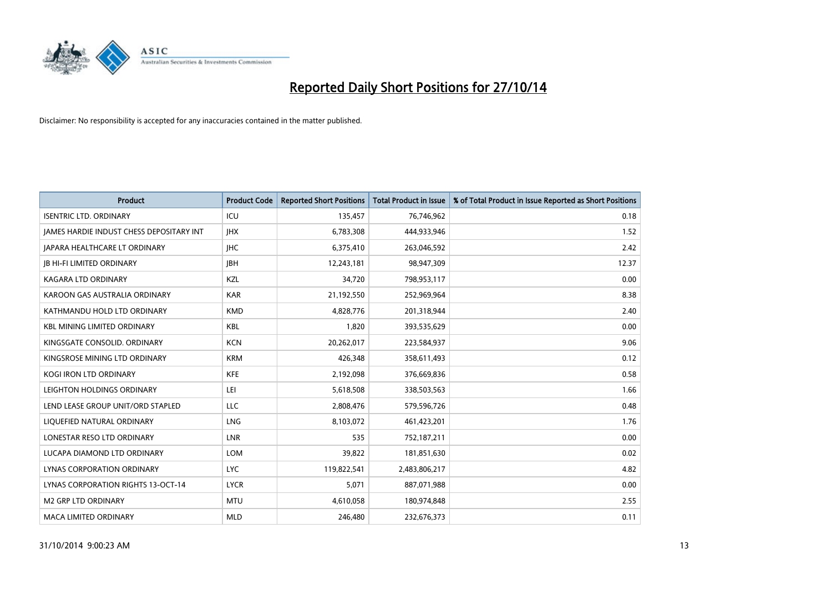

| <b>Product</b>                           | <b>Product Code</b> | <b>Reported Short Positions</b> | <b>Total Product in Issue</b> | % of Total Product in Issue Reported as Short Positions |
|------------------------------------------|---------------------|---------------------------------|-------------------------------|---------------------------------------------------------|
| <b>ISENTRIC LTD. ORDINARY</b>            | ICU                 | 135,457                         | 76,746,962                    | 0.18                                                    |
| JAMES HARDIE INDUST CHESS DEPOSITARY INT | <b>IHX</b>          | 6,783,308                       | 444,933,946                   | 1.52                                                    |
| <b>JAPARA HEALTHCARE LT ORDINARY</b>     | IHC.                | 6,375,410                       | 263,046,592                   | 2.42                                                    |
| <b>JB HI-FI LIMITED ORDINARY</b>         | <b>JBH</b>          | 12,243,181                      | 98,947,309                    | 12.37                                                   |
| <b>KAGARA LTD ORDINARY</b>               | KZL                 | 34,720                          | 798,953,117                   | 0.00                                                    |
| KAROON GAS AUSTRALIA ORDINARY            | <b>KAR</b>          | 21,192,550                      | 252,969,964                   | 8.38                                                    |
| KATHMANDU HOLD LTD ORDINARY              | <b>KMD</b>          | 4,828,776                       | 201,318,944                   | 2.40                                                    |
| <b>KBL MINING LIMITED ORDINARY</b>       | <b>KBL</b>          | 1,820                           | 393,535,629                   | 0.00                                                    |
| KINGSGATE CONSOLID, ORDINARY             | <b>KCN</b>          | 20,262,017                      | 223,584,937                   | 9.06                                                    |
| KINGSROSE MINING LTD ORDINARY            | <b>KRM</b>          | 426,348                         | 358,611,493                   | 0.12                                                    |
| KOGI IRON LTD ORDINARY                   | <b>KFE</b>          | 2,192,098                       | 376,669,836                   | 0.58                                                    |
| LEIGHTON HOLDINGS ORDINARY               | LEI                 | 5,618,508                       | 338,503,563                   | 1.66                                                    |
| LEND LEASE GROUP UNIT/ORD STAPLED        | LLC                 | 2,808,476                       | 579,596,726                   | 0.48                                                    |
| LIQUEFIED NATURAL ORDINARY               | LNG                 | 8,103,072                       | 461,423,201                   | 1.76                                                    |
| LONESTAR RESO LTD ORDINARY               | <b>LNR</b>          | 535                             | 752,187,211                   | 0.00                                                    |
| LUCAPA DIAMOND LTD ORDINARY              | <b>LOM</b>          | 39,822                          | 181,851,630                   | 0.02                                                    |
| LYNAS CORPORATION ORDINARY               | <b>LYC</b>          | 119,822,541                     | 2,483,806,217                 | 4.82                                                    |
| LYNAS CORPORATION RIGHTS 13-OCT-14       | <b>LYCR</b>         | 5,071                           | 887,071,988                   | 0.00                                                    |
| <b>M2 GRP LTD ORDINARY</b>               | <b>MTU</b>          | 4,610,058                       | 180,974,848                   | 2.55                                                    |
| MACA LIMITED ORDINARY                    | <b>MLD</b>          | 246,480                         | 232,676,373                   | 0.11                                                    |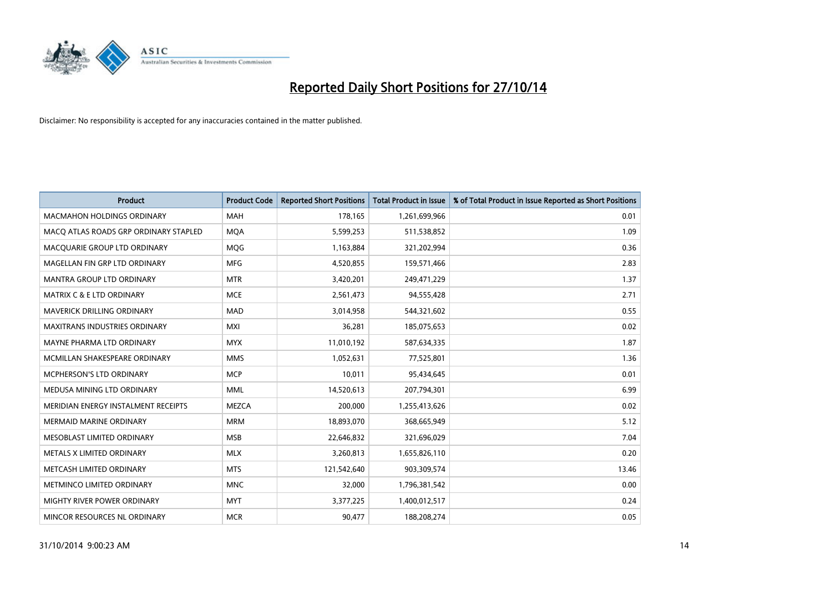

| <b>Product</b>                        | <b>Product Code</b> | <b>Reported Short Positions</b> | <b>Total Product in Issue</b> | % of Total Product in Issue Reported as Short Positions |
|---------------------------------------|---------------------|---------------------------------|-------------------------------|---------------------------------------------------------|
| <b>MACMAHON HOLDINGS ORDINARY</b>     | <b>MAH</b>          | 178,165                         | 1,261,699,966                 | 0.01                                                    |
| MACO ATLAS ROADS GRP ORDINARY STAPLED | <b>MQA</b>          | 5,599,253                       | 511,538,852                   | 1.09                                                    |
| MACQUARIE GROUP LTD ORDINARY          | <b>MOG</b>          | 1,163,884                       | 321,202,994                   | 0.36                                                    |
| MAGELLAN FIN GRP LTD ORDINARY         | <b>MFG</b>          | 4,520,855                       | 159,571,466                   | 2.83                                                    |
| <b>MANTRA GROUP LTD ORDINARY</b>      | <b>MTR</b>          | 3,420,201                       | 249,471,229                   | 1.37                                                    |
| <b>MATRIX C &amp; E LTD ORDINARY</b>  | <b>MCE</b>          | 2,561,473                       | 94,555,428                    | 2.71                                                    |
| MAVERICK DRILLING ORDINARY            | <b>MAD</b>          | 3,014,958                       | 544,321,602                   | 0.55                                                    |
| MAXITRANS INDUSTRIES ORDINARY         | <b>MXI</b>          | 36,281                          | 185,075,653                   | 0.02                                                    |
| MAYNE PHARMA LTD ORDINARY             | <b>MYX</b>          | 11,010,192                      | 587,634,335                   | 1.87                                                    |
| MCMILLAN SHAKESPEARE ORDINARY         | <b>MMS</b>          | 1,052,631                       | 77,525,801                    | 1.36                                                    |
| MCPHERSON'S LTD ORDINARY              | <b>MCP</b>          | 10,011                          | 95,434,645                    | 0.01                                                    |
| MEDUSA MINING LTD ORDINARY            | <b>MML</b>          | 14,520,613                      | 207,794,301                   | 6.99                                                    |
| MERIDIAN ENERGY INSTALMENT RECEIPTS   | <b>MEZCA</b>        | 200,000                         | 1,255,413,626                 | 0.02                                                    |
| <b>MERMAID MARINE ORDINARY</b>        | <b>MRM</b>          | 18,893,070                      | 368,665,949                   | 5.12                                                    |
| MESOBLAST LIMITED ORDINARY            | <b>MSB</b>          | 22,646,832                      | 321,696,029                   | 7.04                                                    |
| METALS X LIMITED ORDINARY             | <b>MLX</b>          | 3,260,813                       | 1,655,826,110                 | 0.20                                                    |
| METCASH LIMITED ORDINARY              | <b>MTS</b>          | 121,542,640                     | 903,309,574                   | 13.46                                                   |
| METMINCO LIMITED ORDINARY             | <b>MNC</b>          | 32,000                          | 1,796,381,542                 | 0.00                                                    |
| MIGHTY RIVER POWER ORDINARY           | <b>MYT</b>          | 3,377,225                       | 1,400,012,517                 | 0.24                                                    |
| MINCOR RESOURCES NL ORDINARY          | <b>MCR</b>          | 90,477                          | 188,208,274                   | 0.05                                                    |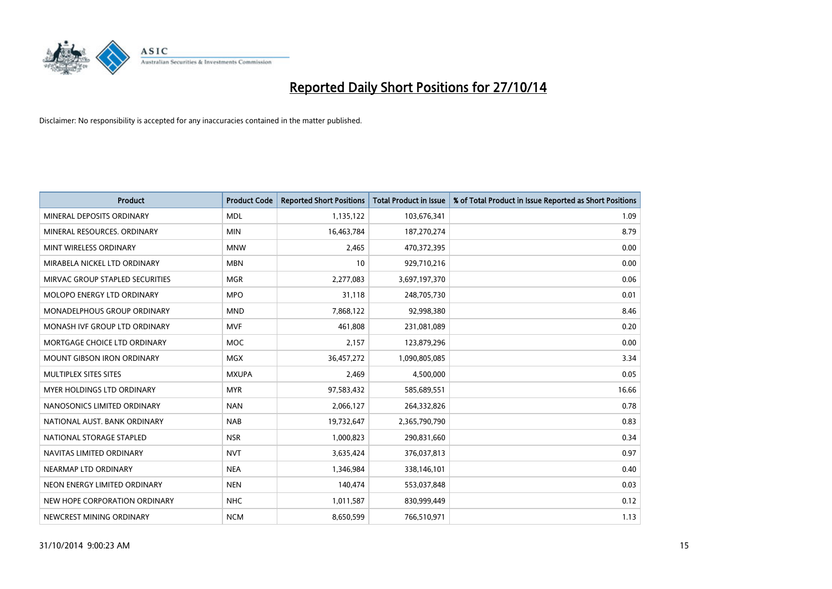

| <b>Product</b>                    | <b>Product Code</b> | <b>Reported Short Positions</b> | <b>Total Product in Issue</b> | % of Total Product in Issue Reported as Short Positions |
|-----------------------------------|---------------------|---------------------------------|-------------------------------|---------------------------------------------------------|
| MINERAL DEPOSITS ORDINARY         | <b>MDL</b>          | 1,135,122                       | 103,676,341                   | 1.09                                                    |
| MINERAL RESOURCES. ORDINARY       | <b>MIN</b>          | 16,463,784                      | 187,270,274                   | 8.79                                                    |
| MINT WIRELESS ORDINARY            | <b>MNW</b>          | 2,465                           | 470,372,395                   | 0.00                                                    |
| MIRABELA NICKEL LTD ORDINARY      | <b>MBN</b>          | 10                              | 929,710,216                   | 0.00                                                    |
| MIRVAC GROUP STAPLED SECURITIES   | <b>MGR</b>          | 2,277,083                       | 3,697,197,370                 | 0.06                                                    |
| MOLOPO ENERGY LTD ORDINARY        | <b>MPO</b>          | 31,118                          | 248,705,730                   | 0.01                                                    |
| MONADELPHOUS GROUP ORDINARY       | <b>MND</b>          | 7,868,122                       | 92,998,380                    | 8.46                                                    |
| MONASH IVF GROUP LTD ORDINARY     | <b>MVF</b>          | 461,808                         | 231,081,089                   | 0.20                                                    |
| MORTGAGE CHOICE LTD ORDINARY      | <b>MOC</b>          | 2,157                           | 123,879,296                   | 0.00                                                    |
| <b>MOUNT GIBSON IRON ORDINARY</b> | <b>MGX</b>          | 36,457,272                      | 1,090,805,085                 | 3.34                                                    |
| MULTIPLEX SITES SITES             | <b>MXUPA</b>        | 2,469                           | 4,500,000                     | 0.05                                                    |
| <b>MYER HOLDINGS LTD ORDINARY</b> | <b>MYR</b>          | 97,583,432                      | 585,689,551                   | 16.66                                                   |
| NANOSONICS LIMITED ORDINARY       | <b>NAN</b>          | 2,066,127                       | 264,332,826                   | 0.78                                                    |
| NATIONAL AUST. BANK ORDINARY      | <b>NAB</b>          | 19,732,647                      | 2,365,790,790                 | 0.83                                                    |
| NATIONAL STORAGE STAPLED          | <b>NSR</b>          | 1,000,823                       | 290,831,660                   | 0.34                                                    |
| NAVITAS LIMITED ORDINARY          | <b>NVT</b>          | 3,635,424                       | 376,037,813                   | 0.97                                                    |
| NEARMAP LTD ORDINARY              | <b>NEA</b>          | 1,346,984                       | 338,146,101                   | 0.40                                                    |
| NEON ENERGY LIMITED ORDINARY      | <b>NEN</b>          | 140,474                         | 553,037,848                   | 0.03                                                    |
| NEW HOPE CORPORATION ORDINARY     | <b>NHC</b>          | 1,011,587                       | 830,999,449                   | 0.12                                                    |
| NEWCREST MINING ORDINARY          | <b>NCM</b>          | 8,650,599                       | 766,510,971                   | 1.13                                                    |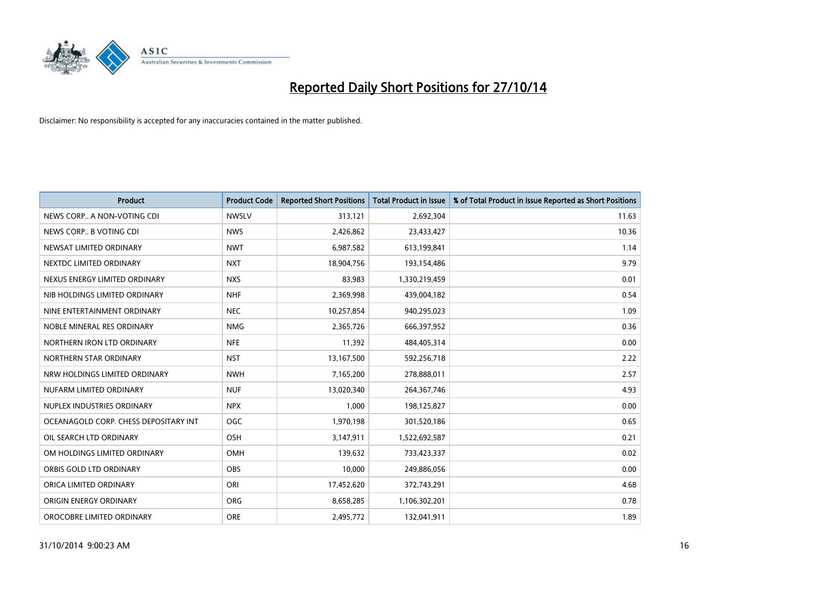

| <b>Product</b>                        | <b>Product Code</b> | <b>Reported Short Positions</b> | <b>Total Product in Issue</b> | % of Total Product in Issue Reported as Short Positions |
|---------------------------------------|---------------------|---------------------------------|-------------------------------|---------------------------------------------------------|
| NEWS CORP A NON-VOTING CDI            | <b>NWSLV</b>        | 313,121                         | 2,692,304                     | 11.63                                                   |
| NEWS CORP B VOTING CDI                | <b>NWS</b>          | 2,426,862                       | 23,433,427                    | 10.36                                                   |
| NEWSAT LIMITED ORDINARY               | <b>NWT</b>          | 6,987,582                       | 613,199,841                   | 1.14                                                    |
| NEXTDC LIMITED ORDINARY               | <b>NXT</b>          | 18,904,756                      | 193,154,486                   | 9.79                                                    |
| NEXUS ENERGY LIMITED ORDINARY         | <b>NXS</b>          | 83,983                          | 1,330,219,459                 | 0.01                                                    |
| NIB HOLDINGS LIMITED ORDINARY         | <b>NHF</b>          | 2,369,998                       | 439,004,182                   | 0.54                                                    |
| NINE ENTERTAINMENT ORDINARY           | <b>NEC</b>          | 10,257,854                      | 940,295,023                   | 1.09                                                    |
| NOBLE MINERAL RES ORDINARY            | <b>NMG</b>          | 2,365,726                       | 666,397,952                   | 0.36                                                    |
| NORTHERN IRON LTD ORDINARY            | <b>NFE</b>          | 11,392                          | 484,405,314                   | 0.00                                                    |
| NORTHERN STAR ORDINARY                | <b>NST</b>          | 13,167,500                      | 592,256,718                   | 2.22                                                    |
| NRW HOLDINGS LIMITED ORDINARY         | <b>NWH</b>          | 7,165,200                       | 278,888,011                   | 2.57                                                    |
| NUFARM LIMITED ORDINARY               | <b>NUF</b>          | 13,020,340                      | 264,367,746                   | 4.93                                                    |
| NUPLEX INDUSTRIES ORDINARY            | <b>NPX</b>          | 1,000                           | 198,125,827                   | 0.00                                                    |
| OCEANAGOLD CORP. CHESS DEPOSITARY INT | <b>OGC</b>          | 1,970,198                       | 301,520,186                   | 0.65                                                    |
| OIL SEARCH LTD ORDINARY               | OSH                 | 3,147,911                       | 1,522,692,587                 | 0.21                                                    |
| OM HOLDINGS LIMITED ORDINARY          | OMH                 | 139,632                         | 733,423,337                   | 0.02                                                    |
| ORBIS GOLD LTD ORDINARY               | OBS                 | 10,000                          | 249,886,056                   | 0.00                                                    |
| ORICA LIMITED ORDINARY                | ORI                 | 17,452,620                      | 372,743,291                   | 4.68                                                    |
| ORIGIN ENERGY ORDINARY                | <b>ORG</b>          | 8,658,285                       | 1,106,302,201                 | 0.78                                                    |
| OROCOBRE LIMITED ORDINARY             | <b>ORE</b>          | 2,495,772                       | 132,041,911                   | 1.89                                                    |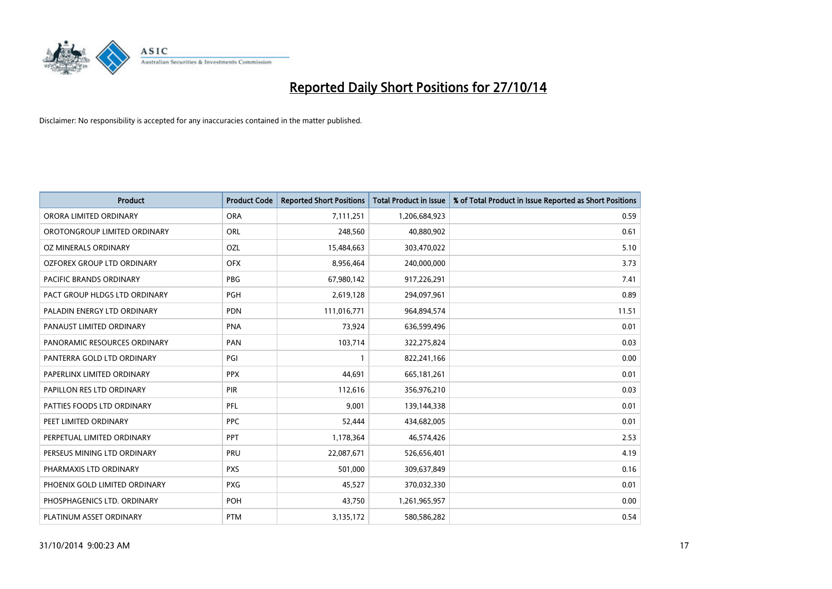

| <b>Product</b>                 | <b>Product Code</b> | <b>Reported Short Positions</b> | <b>Total Product in Issue</b> | % of Total Product in Issue Reported as Short Positions |
|--------------------------------|---------------------|---------------------------------|-------------------------------|---------------------------------------------------------|
| ORORA LIMITED ORDINARY         | <b>ORA</b>          | 7,111,251                       | 1,206,684,923                 | 0.59                                                    |
| OROTONGROUP LIMITED ORDINARY   | ORL                 | 248,560                         | 40,880,902                    | 0.61                                                    |
| OZ MINERALS ORDINARY           | OZL                 | 15,484,663                      | 303,470,022                   | 5.10                                                    |
| OZFOREX GROUP LTD ORDINARY     | <b>OFX</b>          | 8,956,464                       | 240,000,000                   | 3.73                                                    |
| <b>PACIFIC BRANDS ORDINARY</b> | <b>PBG</b>          | 67,980,142                      | 917,226,291                   | 7.41                                                    |
| PACT GROUP HLDGS LTD ORDINARY  | PGH                 | 2,619,128                       | 294,097,961                   | 0.89                                                    |
| PALADIN ENERGY LTD ORDINARY    | <b>PDN</b>          | 111,016,771                     | 964,894,574                   | 11.51                                                   |
| PANAUST LIMITED ORDINARY       | <b>PNA</b>          | 73,924                          | 636,599,496                   | 0.01                                                    |
| PANORAMIC RESOURCES ORDINARY   | PAN                 | 103,714                         | 322,275,824                   | 0.03                                                    |
| PANTERRA GOLD LTD ORDINARY     | PGI                 | $\mathbf{1}$                    | 822,241,166                   | 0.00                                                    |
| PAPERLINX LIMITED ORDINARY     | <b>PPX</b>          | 44,691                          | 665,181,261                   | 0.01                                                    |
| PAPILLON RES LTD ORDINARY      | <b>PIR</b>          | 112,616                         | 356,976,210                   | 0.03                                                    |
| PATTIES FOODS LTD ORDINARY     | PFL                 | 9,001                           | 139,144,338                   | 0.01                                                    |
| PEET LIMITED ORDINARY          | <b>PPC</b>          | 52,444                          | 434,682,005                   | 0.01                                                    |
| PERPETUAL LIMITED ORDINARY     | <b>PPT</b>          | 1,178,364                       | 46,574,426                    | 2.53                                                    |
| PERSEUS MINING LTD ORDINARY    | PRU                 | 22,087,671                      | 526,656,401                   | 4.19                                                    |
| PHARMAXIS LTD ORDINARY         | <b>PXS</b>          | 501,000                         | 309,637,849                   | 0.16                                                    |
| PHOENIX GOLD LIMITED ORDINARY  | <b>PXG</b>          | 45,527                          | 370,032,330                   | 0.01                                                    |
| PHOSPHAGENICS LTD. ORDINARY    | POH                 | 43,750                          | 1,261,965,957                 | 0.00                                                    |
| PLATINUM ASSET ORDINARY        | <b>PTM</b>          | 3,135,172                       | 580,586,282                   | 0.54                                                    |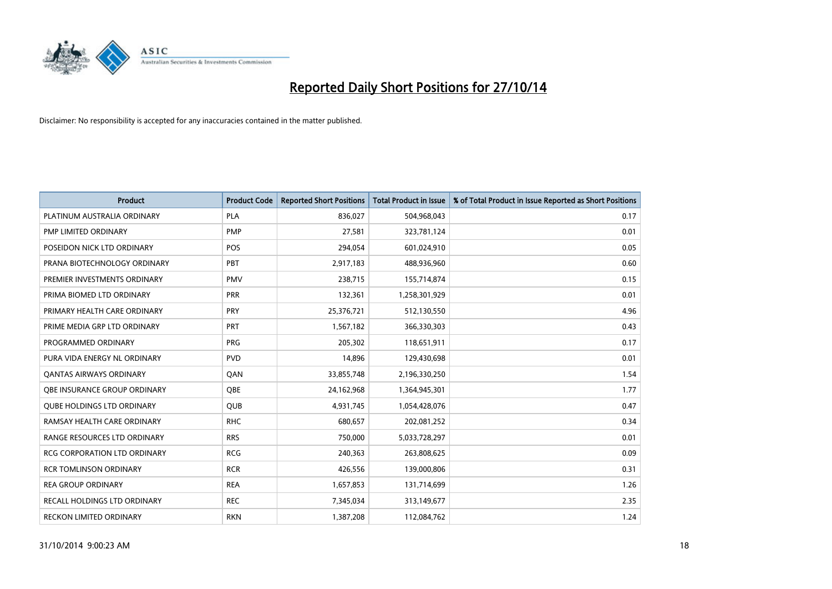

| <b>Product</b>                      | <b>Product Code</b> | <b>Reported Short Positions</b> | <b>Total Product in Issue</b> | % of Total Product in Issue Reported as Short Positions |
|-------------------------------------|---------------------|---------------------------------|-------------------------------|---------------------------------------------------------|
| PLATINUM AUSTRALIA ORDINARY         | <b>PLA</b>          | 836,027                         | 504,968,043                   | 0.17                                                    |
| PMP LIMITED ORDINARY                | <b>PMP</b>          | 27,581                          | 323,781,124                   | 0.01                                                    |
| POSEIDON NICK LTD ORDINARY          | <b>POS</b>          | 294,054                         | 601,024,910                   | 0.05                                                    |
| PRANA BIOTECHNOLOGY ORDINARY        | PBT                 | 2,917,183                       | 488,936,960                   | 0.60                                                    |
| PREMIER INVESTMENTS ORDINARY        | <b>PMV</b>          | 238,715                         | 155,714,874                   | 0.15                                                    |
| PRIMA BIOMED LTD ORDINARY           | <b>PRR</b>          | 132,361                         | 1,258,301,929                 | 0.01                                                    |
| PRIMARY HEALTH CARE ORDINARY        | <b>PRY</b>          | 25,376,721                      | 512,130,550                   | 4.96                                                    |
| PRIME MEDIA GRP LTD ORDINARY        | <b>PRT</b>          | 1,567,182                       | 366,330,303                   | 0.43                                                    |
| PROGRAMMED ORDINARY                 | <b>PRG</b>          | 205,302                         | 118,651,911                   | 0.17                                                    |
| PURA VIDA ENERGY NL ORDINARY        | <b>PVD</b>          | 14,896                          | 129,430,698                   | 0.01                                                    |
| <b>QANTAS AIRWAYS ORDINARY</b>      | QAN                 | 33,855,748                      | 2,196,330,250                 | 1.54                                                    |
| <b>OBE INSURANCE GROUP ORDINARY</b> | <b>OBE</b>          | 24,162,968                      | 1,364,945,301                 | 1.77                                                    |
| <b>QUBE HOLDINGS LTD ORDINARY</b>   | <b>QUB</b>          | 4,931,745                       | 1,054,428,076                 | 0.47                                                    |
| RAMSAY HEALTH CARE ORDINARY         | <b>RHC</b>          | 680,657                         | 202,081,252                   | 0.34                                                    |
| RANGE RESOURCES LTD ORDINARY        | <b>RRS</b>          | 750,000                         | 5,033,728,297                 | 0.01                                                    |
| RCG CORPORATION LTD ORDINARY        | <b>RCG</b>          | 240,363                         | 263,808,625                   | 0.09                                                    |
| <b>RCR TOMLINSON ORDINARY</b>       | <b>RCR</b>          | 426,556                         | 139,000,806                   | 0.31                                                    |
| <b>REA GROUP ORDINARY</b>           | <b>REA</b>          | 1,657,853                       | 131,714,699                   | 1.26                                                    |
| RECALL HOLDINGS LTD ORDINARY        | <b>REC</b>          | 7,345,034                       | 313,149,677                   | 2.35                                                    |
| RECKON LIMITED ORDINARY             | <b>RKN</b>          | 1,387,208                       | 112,084,762                   | 1.24                                                    |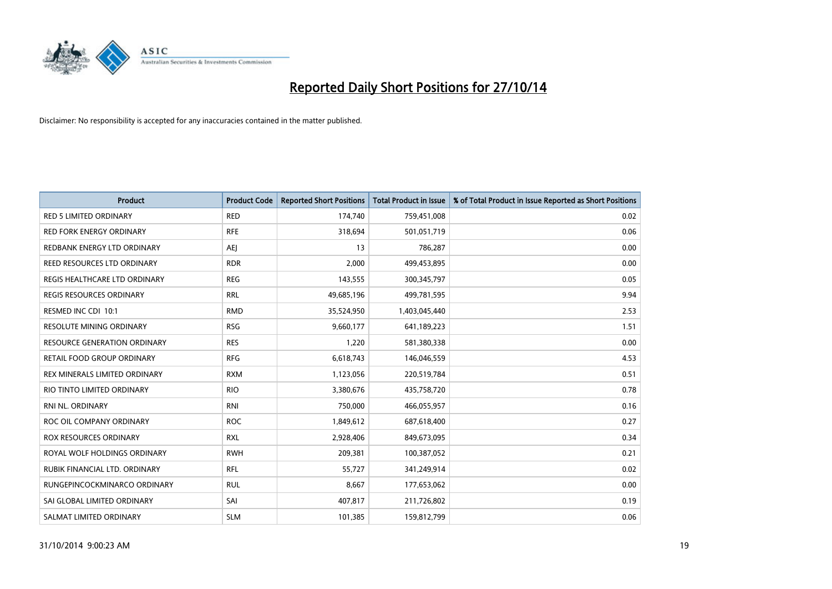

| <b>Product</b>                  | <b>Product Code</b> | <b>Reported Short Positions</b> | <b>Total Product in Issue</b> | % of Total Product in Issue Reported as Short Positions |
|---------------------------------|---------------------|---------------------------------|-------------------------------|---------------------------------------------------------|
| <b>RED 5 LIMITED ORDINARY</b>   | <b>RED</b>          | 174,740                         | 759,451,008                   | 0.02                                                    |
| RED FORK ENERGY ORDINARY        | <b>RFE</b>          | 318,694                         | 501,051,719                   | 0.06                                                    |
| REDBANK ENERGY LTD ORDINARY     | AEJ                 | 13                              | 786,287                       | 0.00                                                    |
| REED RESOURCES LTD ORDINARY     | <b>RDR</b>          | 2,000                           | 499,453,895                   | 0.00                                                    |
| REGIS HEALTHCARE LTD ORDINARY   | <b>REG</b>          | 143,555                         | 300, 345, 797                 | 0.05                                                    |
| <b>REGIS RESOURCES ORDINARY</b> | <b>RRL</b>          | 49,685,196                      | 499,781,595                   | 9.94                                                    |
| RESMED INC CDI 10:1             | <b>RMD</b>          | 35,524,950                      | 1,403,045,440                 | 2.53                                                    |
| RESOLUTE MINING ORDINARY        | <b>RSG</b>          | 9,660,177                       | 641,189,223                   | 1.51                                                    |
| RESOURCE GENERATION ORDINARY    | <b>RES</b>          | 1,220                           | 581,380,338                   | 0.00                                                    |
| RETAIL FOOD GROUP ORDINARY      | <b>RFG</b>          | 6,618,743                       | 146,046,559                   | 4.53                                                    |
| REX MINERALS LIMITED ORDINARY   | <b>RXM</b>          | 1,123,056                       | 220,519,784                   | 0.51                                                    |
| RIO TINTO LIMITED ORDINARY      | <b>RIO</b>          | 3,380,676                       | 435,758,720                   | 0.78                                                    |
| RNI NL. ORDINARY                | <b>RNI</b>          | 750,000                         | 466,055,957                   | 0.16                                                    |
| ROC OIL COMPANY ORDINARY        | <b>ROC</b>          | 1,849,612                       | 687,618,400                   | 0.27                                                    |
| ROX RESOURCES ORDINARY          | <b>RXL</b>          | 2,928,406                       | 849,673,095                   | 0.34                                                    |
| ROYAL WOLF HOLDINGS ORDINARY    | <b>RWH</b>          | 209,381                         | 100,387,052                   | 0.21                                                    |
| RUBIK FINANCIAL LTD, ORDINARY   | <b>RFL</b>          | 55,727                          | 341,249,914                   | 0.02                                                    |
| RUNGEPINCOCKMINARCO ORDINARY    | <b>RUL</b>          | 8,667                           | 177,653,062                   | 0.00                                                    |
| SAI GLOBAL LIMITED ORDINARY     | SAI                 | 407,817                         | 211,726,802                   | 0.19                                                    |
| SALMAT LIMITED ORDINARY         | <b>SLM</b>          | 101,385                         | 159,812,799                   | 0.06                                                    |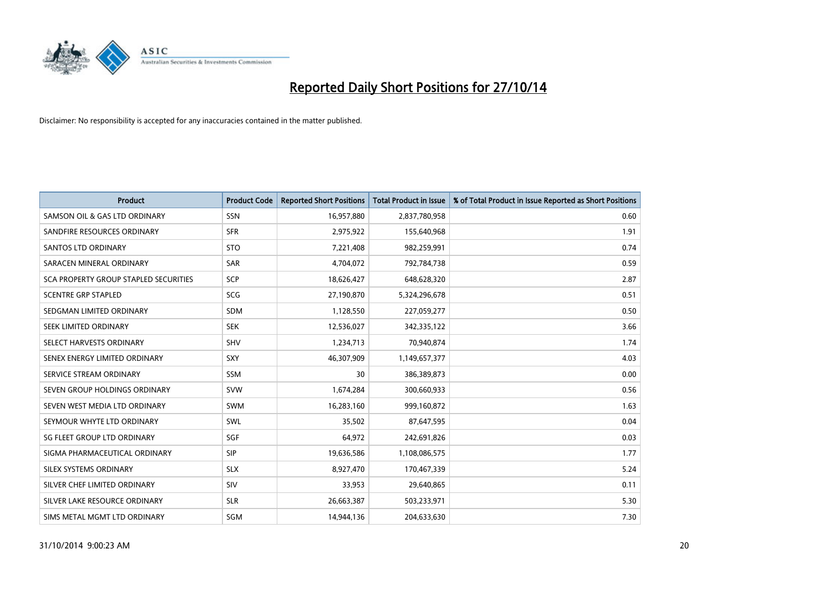

| <b>Product</b>                        | <b>Product Code</b> | <b>Reported Short Positions</b> | <b>Total Product in Issue</b> | % of Total Product in Issue Reported as Short Positions |
|---------------------------------------|---------------------|---------------------------------|-------------------------------|---------------------------------------------------------|
| SAMSON OIL & GAS LTD ORDINARY         | SSN                 | 16,957,880                      | 2,837,780,958                 | 0.60                                                    |
| SANDFIRE RESOURCES ORDINARY           | <b>SFR</b>          | 2,975,922                       | 155,640,968                   | 1.91                                                    |
| <b>SANTOS LTD ORDINARY</b>            | <b>STO</b>          | 7,221,408                       | 982,259,991                   | 0.74                                                    |
| SARACEN MINERAL ORDINARY              | <b>SAR</b>          | 4,704,072                       | 792,784,738                   | 0.59                                                    |
| SCA PROPERTY GROUP STAPLED SECURITIES | <b>SCP</b>          | 18,626,427                      | 648,628,320                   | 2.87                                                    |
| <b>SCENTRE GRP STAPLED</b>            | <b>SCG</b>          | 27,190,870                      | 5,324,296,678                 | 0.51                                                    |
| SEDGMAN LIMITED ORDINARY              | SDM                 | 1,128,550                       | 227,059,277                   | 0.50                                                    |
| SEEK LIMITED ORDINARY                 | <b>SEK</b>          | 12,536,027                      | 342,335,122                   | 3.66                                                    |
| SELECT HARVESTS ORDINARY              | SHV                 | 1,234,713                       | 70,940,874                    | 1.74                                                    |
| SENEX ENERGY LIMITED ORDINARY         | <b>SXY</b>          | 46,307,909                      | 1,149,657,377                 | 4.03                                                    |
| SERVICE STREAM ORDINARY               | <b>SSM</b>          | 30                              | 386,389,873                   | 0.00                                                    |
| SEVEN GROUP HOLDINGS ORDINARY         | <b>SVW</b>          | 1,674,284                       | 300,660,933                   | 0.56                                                    |
| SEVEN WEST MEDIA LTD ORDINARY         | <b>SWM</b>          | 16,283,160                      | 999,160,872                   | 1.63                                                    |
| SEYMOUR WHYTE LTD ORDINARY            | SWL                 | 35,502                          | 87,647,595                    | 0.04                                                    |
| SG FLEET GROUP LTD ORDINARY           | SGF                 | 64,972                          | 242,691,826                   | 0.03                                                    |
| SIGMA PHARMACEUTICAL ORDINARY         | <b>SIP</b>          | 19,636,586                      | 1,108,086,575                 | 1.77                                                    |
| SILEX SYSTEMS ORDINARY                | <b>SLX</b>          | 8,927,470                       | 170,467,339                   | 5.24                                                    |
| SILVER CHEF LIMITED ORDINARY          | SIV                 | 33,953                          | 29,640,865                    | 0.11                                                    |
| SILVER LAKE RESOURCE ORDINARY         | <b>SLR</b>          | 26,663,387                      | 503,233,971                   | 5.30                                                    |
| SIMS METAL MGMT LTD ORDINARY          | SGM                 | 14,944,136                      | 204,633,630                   | 7.30                                                    |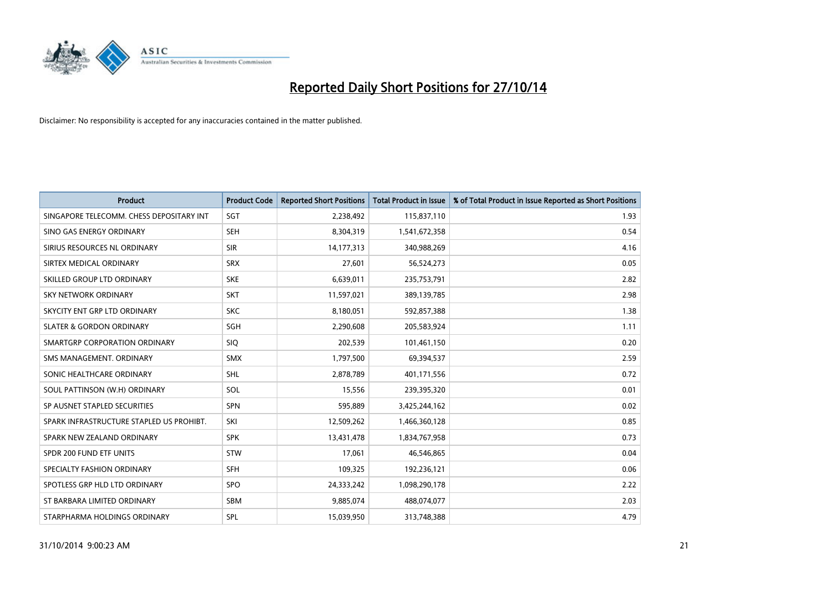

| <b>Product</b>                           | <b>Product Code</b> | <b>Reported Short Positions</b> | <b>Total Product in Issue</b> | % of Total Product in Issue Reported as Short Positions |
|------------------------------------------|---------------------|---------------------------------|-------------------------------|---------------------------------------------------------|
| SINGAPORE TELECOMM. CHESS DEPOSITARY INT | SGT                 | 2,238,492                       | 115,837,110                   | 1.93                                                    |
| SINO GAS ENERGY ORDINARY                 | <b>SEH</b>          | 8,304,319                       | 1,541,672,358                 | 0.54                                                    |
| SIRIUS RESOURCES NL ORDINARY             | <b>SIR</b>          | 14,177,313                      | 340,988,269                   | 4.16                                                    |
| SIRTEX MEDICAL ORDINARY                  | <b>SRX</b>          | 27,601                          | 56,524,273                    | 0.05                                                    |
| SKILLED GROUP LTD ORDINARY               | <b>SKE</b>          | 6,639,011                       | 235,753,791                   | 2.82                                                    |
| SKY NETWORK ORDINARY                     | <b>SKT</b>          | 11,597,021                      | 389,139,785                   | 2.98                                                    |
| SKYCITY ENT GRP LTD ORDINARY             | <b>SKC</b>          | 8,180,051                       | 592,857,388                   | 1.38                                                    |
| <b>SLATER &amp; GORDON ORDINARY</b>      | SGH                 | 2,290,608                       | 205,583,924                   | 1.11                                                    |
| SMARTGRP CORPORATION ORDINARY            | SIQ.                | 202,539                         | 101,461,150                   | 0.20                                                    |
| SMS MANAGEMENT, ORDINARY                 | <b>SMX</b>          | 1,797,500                       | 69,394,537                    | 2.59                                                    |
| SONIC HEALTHCARE ORDINARY                | <b>SHL</b>          | 2,878,789                       | 401,171,556                   | 0.72                                                    |
| SOUL PATTINSON (W.H) ORDINARY            | SOL                 | 15,556                          | 239,395,320                   | 0.01                                                    |
| SP AUSNET STAPLED SECURITIES             | <b>SPN</b>          | 595,889                         | 3,425,244,162                 | 0.02                                                    |
| SPARK INFRASTRUCTURE STAPLED US PROHIBT. | SKI                 | 12,509,262                      | 1,466,360,128                 | 0.85                                                    |
| SPARK NEW ZEALAND ORDINARY               | <b>SPK</b>          | 13,431,478                      | 1,834,767,958                 | 0.73                                                    |
| SPDR 200 FUND ETF UNITS                  | <b>STW</b>          | 17,061                          | 46,546,865                    | 0.04                                                    |
| SPECIALTY FASHION ORDINARY               | <b>SFH</b>          | 109,325                         | 192,236,121                   | 0.06                                                    |
| SPOTLESS GRP HLD LTD ORDINARY            | <b>SPO</b>          | 24,333,242                      | 1,098,290,178                 | 2.22                                                    |
| ST BARBARA LIMITED ORDINARY              | <b>SBM</b>          | 9,885,074                       | 488,074,077                   | 2.03                                                    |
| STARPHARMA HOLDINGS ORDINARY             | <b>SPL</b>          | 15,039,950                      | 313,748,388                   | 4.79                                                    |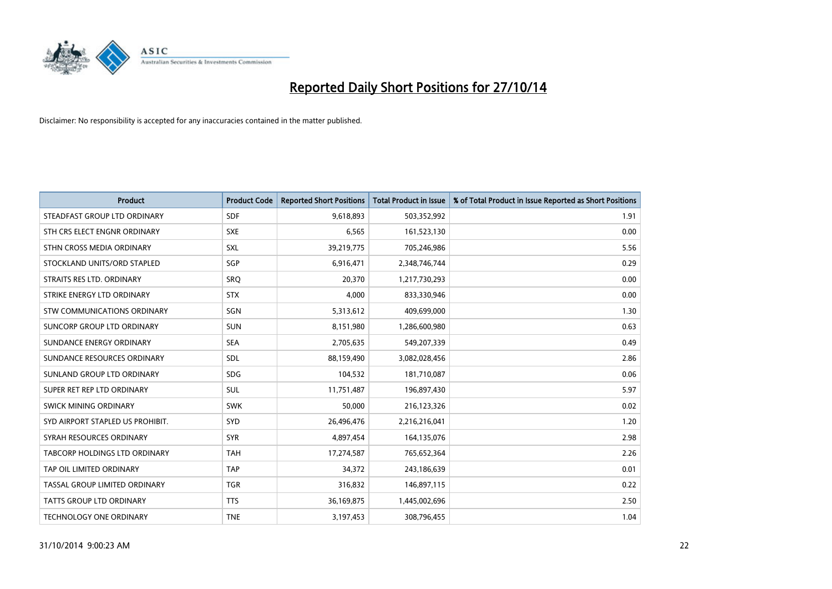

| <b>Product</b>                    | <b>Product Code</b> | <b>Reported Short Positions</b> | <b>Total Product in Issue</b> | % of Total Product in Issue Reported as Short Positions |
|-----------------------------------|---------------------|---------------------------------|-------------------------------|---------------------------------------------------------|
| STEADFAST GROUP LTD ORDINARY      | <b>SDF</b>          | 9,618,893                       | 503,352,992                   | 1.91                                                    |
| STH CRS ELECT ENGNR ORDINARY      | <b>SXE</b>          | 6,565                           | 161,523,130                   | 0.00                                                    |
| STHN CROSS MEDIA ORDINARY         | <b>SXL</b>          | 39,219,775                      | 705,246,986                   | 5.56                                                    |
| STOCKLAND UNITS/ORD STAPLED       | SGP                 | 6,916,471                       | 2,348,746,744                 | 0.29                                                    |
| STRAITS RES LTD. ORDINARY         | <b>SRO</b>          | 20,370                          | 1,217,730,293                 | 0.00                                                    |
| STRIKE ENERGY LTD ORDINARY        | <b>STX</b>          | 4,000                           | 833,330,946                   | 0.00                                                    |
| STW COMMUNICATIONS ORDINARY       | SGN                 | 5,313,612                       | 409,699,000                   | 1.30                                                    |
| <b>SUNCORP GROUP LTD ORDINARY</b> | <b>SUN</b>          | 8,151,980                       | 1,286,600,980                 | 0.63                                                    |
| SUNDANCE ENERGY ORDINARY          | <b>SEA</b>          | 2,705,635                       | 549,207,339                   | 0.49                                                    |
| SUNDANCE RESOURCES ORDINARY       | SDL                 | 88,159,490                      | 3,082,028,456                 | 2.86                                                    |
| SUNLAND GROUP LTD ORDINARY        | <b>SDG</b>          | 104,532                         | 181,710,087                   | 0.06                                                    |
| SUPER RET REP LTD ORDINARY        | SUL                 | 11,751,487                      | 196,897,430                   | 5.97                                                    |
| SWICK MINING ORDINARY             | <b>SWK</b>          | 50,000                          | 216,123,326                   | 0.02                                                    |
| SYD AIRPORT STAPLED US PROHIBIT.  | <b>SYD</b>          | 26,496,476                      | 2,216,216,041                 | 1.20                                                    |
| SYRAH RESOURCES ORDINARY          | <b>SYR</b>          | 4,897,454                       | 164,135,076                   | 2.98                                                    |
| TABCORP HOLDINGS LTD ORDINARY     | <b>TAH</b>          | 17,274,587                      | 765,652,364                   | 2.26                                                    |
| TAP OIL LIMITED ORDINARY          | <b>TAP</b>          | 34,372                          | 243,186,639                   | 0.01                                                    |
| TASSAL GROUP LIMITED ORDINARY     | <b>TGR</b>          | 316,832                         | 146,897,115                   | 0.22                                                    |
| <b>TATTS GROUP LTD ORDINARY</b>   | <b>TTS</b>          | 36,169,875                      | 1,445,002,696                 | 2.50                                                    |
| TECHNOLOGY ONE ORDINARY           | <b>TNE</b>          | 3,197,453                       | 308,796,455                   | 1.04                                                    |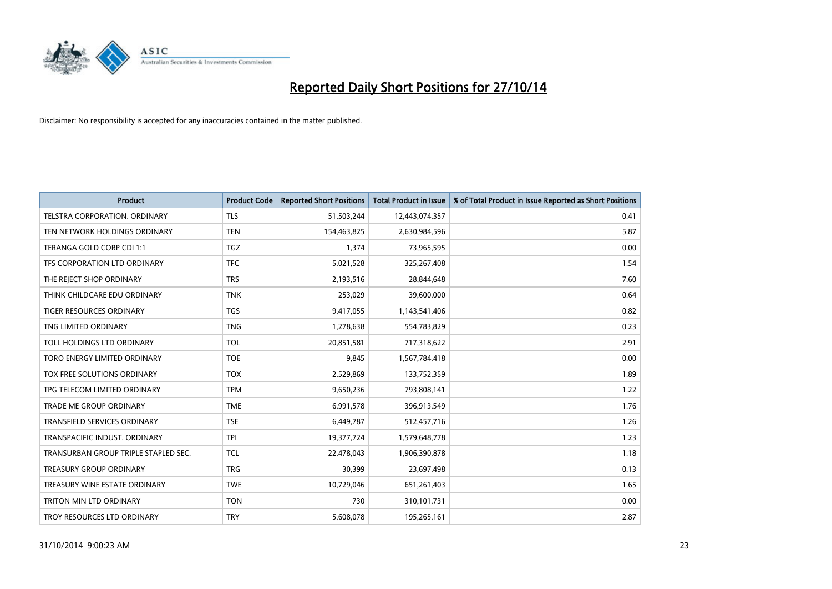

| <b>Product</b>                       | <b>Product Code</b> | <b>Reported Short Positions</b> | <b>Total Product in Issue</b> | % of Total Product in Issue Reported as Short Positions |
|--------------------------------------|---------------------|---------------------------------|-------------------------------|---------------------------------------------------------|
| <b>TELSTRA CORPORATION, ORDINARY</b> | <b>TLS</b>          | 51,503,244                      | 12,443,074,357                | 0.41                                                    |
| TEN NETWORK HOLDINGS ORDINARY        | <b>TEN</b>          | 154,463,825                     | 2,630,984,596                 | 5.87                                                    |
| TERANGA GOLD CORP CDI 1:1            | <b>TGZ</b>          | 1,374                           | 73,965,595                    | 0.00                                                    |
| TFS CORPORATION LTD ORDINARY         | <b>TFC</b>          | 5,021,528                       | 325,267,408                   | 1.54                                                    |
| THE REJECT SHOP ORDINARY             | <b>TRS</b>          | 2,193,516                       | 28,844,648                    | 7.60                                                    |
| THINK CHILDCARE EDU ORDINARY         | <b>TNK</b>          | 253,029                         | 39,600,000                    | 0.64                                                    |
| TIGER RESOURCES ORDINARY             | <b>TGS</b>          | 9,417,055                       | 1,143,541,406                 | 0.82                                                    |
| TNG LIMITED ORDINARY                 | <b>TNG</b>          | 1,278,638                       | 554,783,829                   | 0.23                                                    |
| TOLL HOLDINGS LTD ORDINARY           | <b>TOL</b>          | 20,851,581                      | 717,318,622                   | 2.91                                                    |
| TORO ENERGY LIMITED ORDINARY         | <b>TOE</b>          | 9,845                           | 1,567,784,418                 | 0.00                                                    |
| TOX FREE SOLUTIONS ORDINARY          | <b>TOX</b>          | 2,529,869                       | 133,752,359                   | 1.89                                                    |
| TPG TELECOM LIMITED ORDINARY         | <b>TPM</b>          | 9,650,236                       | 793,808,141                   | 1.22                                                    |
| <b>TRADE ME GROUP ORDINARY</b>       | <b>TME</b>          | 6,991,578                       | 396,913,549                   | 1.76                                                    |
| <b>TRANSFIELD SERVICES ORDINARY</b>  | <b>TSE</b>          | 6,449,787                       | 512,457,716                   | 1.26                                                    |
| TRANSPACIFIC INDUST, ORDINARY        | <b>TPI</b>          | 19,377,724                      | 1,579,648,778                 | 1.23                                                    |
| TRANSURBAN GROUP TRIPLE STAPLED SEC. | <b>TCL</b>          | 22,478,043                      | 1,906,390,878                 | 1.18                                                    |
| <b>TREASURY GROUP ORDINARY</b>       | <b>TRG</b>          | 30,399                          | 23,697,498                    | 0.13                                                    |
| TREASURY WINE ESTATE ORDINARY        | <b>TWE</b>          | 10,729,046                      | 651,261,403                   | 1.65                                                    |
| TRITON MIN LTD ORDINARY              | <b>TON</b>          | 730                             | 310,101,731                   | 0.00                                                    |
| TROY RESOURCES LTD ORDINARY          | <b>TRY</b>          | 5,608,078                       | 195,265,161                   | 2.87                                                    |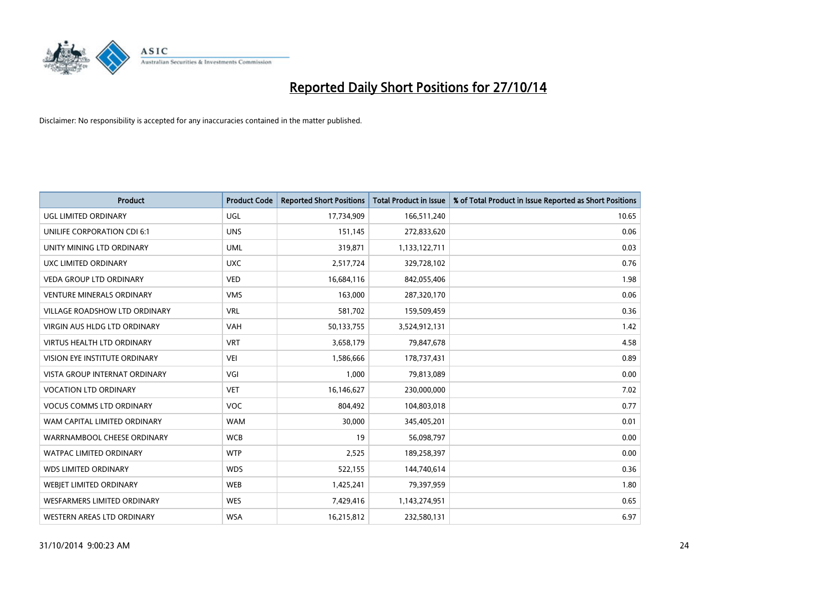

| <b>Product</b>                       | <b>Product Code</b> | <b>Reported Short Positions</b> | <b>Total Product in Issue</b> | % of Total Product in Issue Reported as Short Positions |
|--------------------------------------|---------------------|---------------------------------|-------------------------------|---------------------------------------------------------|
| <b>UGL LIMITED ORDINARY</b>          | UGL                 | 17,734,909                      | 166,511,240                   | 10.65                                                   |
| UNILIFE CORPORATION CDI 6:1          | <b>UNS</b>          | 151,145                         | 272,833,620                   | 0.06                                                    |
| UNITY MINING LTD ORDINARY            | <b>UML</b>          | 319,871                         | 1,133,122,711                 | 0.03                                                    |
| <b>UXC LIMITED ORDINARY</b>          | <b>UXC</b>          | 2,517,724                       | 329,728,102                   | 0.76                                                    |
| VEDA GROUP LTD ORDINARY              | <b>VED</b>          | 16,684,116                      | 842,055,406                   | 1.98                                                    |
| <b>VENTURE MINERALS ORDINARY</b>     | <b>VMS</b>          | 163,000                         | 287,320,170                   | 0.06                                                    |
| <b>VILLAGE ROADSHOW LTD ORDINARY</b> | <b>VRL</b>          | 581,702                         | 159,509,459                   | 0.36                                                    |
| VIRGIN AUS HLDG LTD ORDINARY         | <b>VAH</b>          | 50,133,755                      | 3,524,912,131                 | 1.42                                                    |
| <b>VIRTUS HEALTH LTD ORDINARY</b>    | <b>VRT</b>          | 3,658,179                       | 79,847,678                    | 4.58                                                    |
| VISION EYE INSTITUTE ORDINARY        | <b>VEI</b>          | 1,586,666                       | 178,737,431                   | 0.89                                                    |
| VISTA GROUP INTERNAT ORDINARY        | VGI                 | 1,000                           | 79,813,089                    | 0.00                                                    |
| <b>VOCATION LTD ORDINARY</b>         | <b>VET</b>          | 16,146,627                      | 230,000,000                   | 7.02                                                    |
| <b>VOCUS COMMS LTD ORDINARY</b>      | <b>VOC</b>          | 804,492                         | 104,803,018                   | 0.77                                                    |
| WAM CAPITAL LIMITED ORDINARY         | <b>WAM</b>          | 30,000                          | 345,405,201                   | 0.01                                                    |
| WARRNAMBOOL CHEESE ORDINARY          | <b>WCB</b>          | 19                              | 56,098,797                    | 0.00                                                    |
| <b>WATPAC LIMITED ORDINARY</b>       | <b>WTP</b>          | 2,525                           | 189,258,397                   | 0.00                                                    |
| <b>WDS LIMITED ORDINARY</b>          | <b>WDS</b>          | 522,155                         | 144,740,614                   | 0.36                                                    |
| WEBJET LIMITED ORDINARY              | <b>WEB</b>          | 1,425,241                       | 79,397,959                    | 1.80                                                    |
| WESFARMERS LIMITED ORDINARY          | <b>WES</b>          | 7,429,416                       | 1,143,274,951                 | 0.65                                                    |
| WESTERN AREAS LTD ORDINARY           | <b>WSA</b>          | 16,215,812                      | 232,580,131                   | 6.97                                                    |